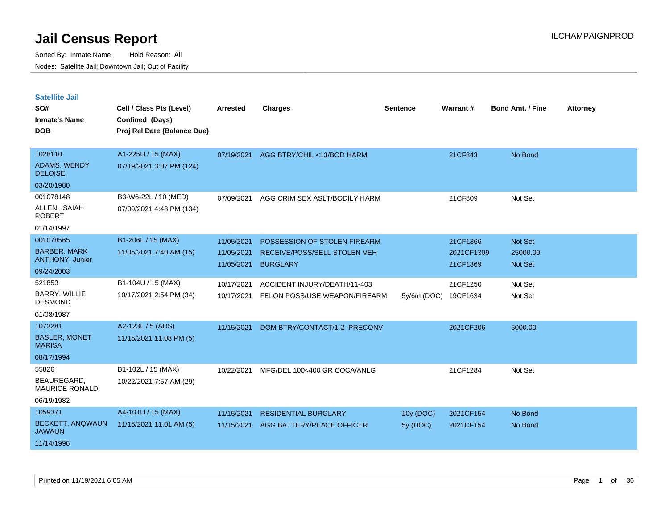Sorted By: Inmate Name, Hold Reason: All Nodes: Satellite Jail; Downtown Jail; Out of Facility

| <b>Satellite Jail</b><br>SO#<br><b>Inmate's Name</b><br><b>DOB</b> | Cell / Class Pts (Level)<br>Confined (Days)<br>Proj Rel Date (Balance Due) | <b>Arrested</b> | <b>Charges</b>                | <b>Sentence</b> | Warrant#   | <b>Bond Amt. / Fine</b> | <b>Attorney</b> |
|--------------------------------------------------------------------|----------------------------------------------------------------------------|-----------------|-------------------------------|-----------------|------------|-------------------------|-----------------|
| 1028110                                                            | A1-225U / 15 (MAX)                                                         | 07/19/2021      | AGG BTRY/CHIL <13/BOD HARM    |                 | 21CF843    | No Bond                 |                 |
| ADAMS, WENDY<br><b>DELOISE</b>                                     | 07/19/2021 3:07 PM (124)                                                   |                 |                               |                 |            |                         |                 |
| 03/20/1980                                                         |                                                                            |                 |                               |                 |            |                         |                 |
| 001078148                                                          | B3-W6-22L / 10 (MED)                                                       | 07/09/2021      | AGG CRIM SEX ASLT/BODILY HARM |                 | 21CF809    | Not Set                 |                 |
| ALLEN, ISAIAH<br>ROBERT                                            | 07/09/2021 4:48 PM (134)                                                   |                 |                               |                 |            |                         |                 |
| 01/14/1997                                                         |                                                                            |                 |                               |                 |            |                         |                 |
| 001078565                                                          | B1-206L / 15 (MAX)                                                         | 11/05/2021      | POSSESSION OF STOLEN FIREARM  |                 | 21CF1366   | Not Set                 |                 |
| <b>BARBER, MARK</b>                                                | 11/05/2021 7:40 AM (15)                                                    | 11/05/2021      | RECEIVE/POSS/SELL STOLEN VEH  |                 | 2021CF1309 | 25000.00                |                 |
| <b>ANTHONY, Junior</b>                                             |                                                                            | 11/05/2021      | <b>BURGLARY</b>               |                 | 21CF1369   | <b>Not Set</b>          |                 |
| 09/24/2003                                                         |                                                                            |                 |                               |                 |            |                         |                 |
| 521853<br><b>BARRY, WILLIE</b>                                     | B1-104U / 15 (MAX)                                                         | 10/17/2021      | ACCIDENT INJURY/DEATH/11-403  |                 | 21CF1250   | Not Set                 |                 |
| <b>DESMOND</b>                                                     | 10/17/2021 2:54 PM (34)                                                    | 10/17/2021      | FELON POSS/USE WEAPON/FIREARM | 5y/6m (DOC)     | 19CF1634   | Not Set                 |                 |
| 01/08/1987                                                         |                                                                            |                 |                               |                 |            |                         |                 |
| 1073281                                                            | A2-123L / 5 (ADS)                                                          | 11/15/2021      | DOM BTRY/CONTACT/1-2 PRECONV  |                 | 2021CF206  | 5000.00                 |                 |
| <b>BASLER, MONET</b><br><b>MARISA</b>                              | 11/15/2021 11:08 PM (5)                                                    |                 |                               |                 |            |                         |                 |
| 08/17/1994                                                         |                                                                            |                 |                               |                 |            |                         |                 |
| 55826                                                              | B1-102L / 15 (MAX)                                                         | 10/22/2021      | MFG/DEL 100<400 GR COCA/ANLG  |                 | 21CF1284   | Not Set                 |                 |
| <b>BEAUREGARD</b><br>MAURICE RONALD,                               | 10/22/2021 7:57 AM (29)                                                    |                 |                               |                 |            |                         |                 |
| 06/19/1982                                                         |                                                                            |                 |                               |                 |            |                         |                 |
| 1059371                                                            | A4-101U / 15 (MAX)                                                         | 11/15/2021      | <b>RESIDENTIAL BURGLARY</b>   | 10y (DOC)       | 2021CF154  | No Bond                 |                 |
| <b>BECKETT, ANQWAUN</b><br><b>JAWAUN</b>                           | 11/15/2021 11:01 AM (5)                                                    | 11/15/2021      | AGG BATTERY/PEACE OFFICER     | 5y (DOC)        | 2021CF154  | No Bond                 |                 |

11/14/1996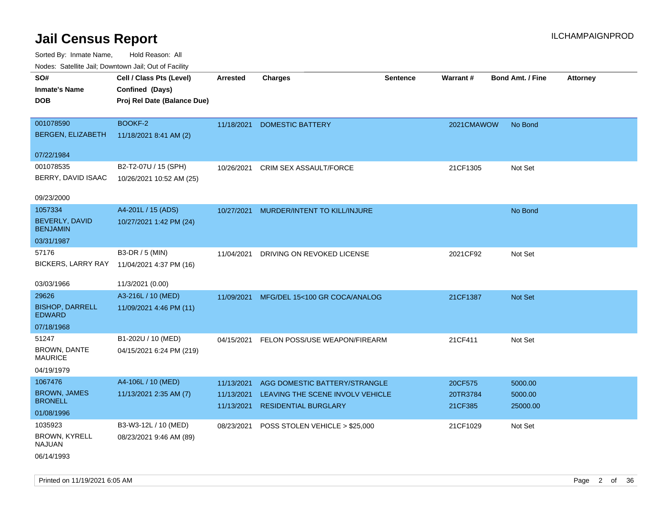| ivuutos. Saltiilit Jali, Duwilluwii Jali, Oul of Facility |                             |            |                                  |                 |                 |                         |                 |
|-----------------------------------------------------------|-----------------------------|------------|----------------------------------|-----------------|-----------------|-------------------------|-----------------|
| SO#                                                       | Cell / Class Pts (Level)    | Arrested   | <b>Charges</b>                   | <b>Sentence</b> | <b>Warrant#</b> | <b>Bond Amt. / Fine</b> | <b>Attorney</b> |
| <b>Inmate's Name</b>                                      | Confined (Days)             |            |                                  |                 |                 |                         |                 |
| <b>DOB</b>                                                | Proj Rel Date (Balance Due) |            |                                  |                 |                 |                         |                 |
|                                                           |                             |            |                                  |                 |                 |                         |                 |
| 001078590                                                 | BOOKF-2                     | 11/18/2021 | <b>DOMESTIC BATTERY</b>          |                 | 2021CMAWOW      | No Bond                 |                 |
| BERGEN, ELIZABETH                                         | 11/18/2021 8:41 AM (2)      |            |                                  |                 |                 |                         |                 |
|                                                           |                             |            |                                  |                 |                 |                         |                 |
| 07/22/1984                                                |                             |            |                                  |                 |                 |                         |                 |
| 001078535                                                 | B2-T2-07U / 15 (SPH)        | 10/26/2021 | CRIM SEX ASSAULT/FORCE           |                 | 21CF1305        | Not Set                 |                 |
| BERRY, DAVID ISAAC                                        | 10/26/2021 10:52 AM (25)    |            |                                  |                 |                 |                         |                 |
|                                                           |                             |            |                                  |                 |                 |                         |                 |
| 09/23/2000                                                |                             |            |                                  |                 |                 |                         |                 |
| 1057334                                                   | A4-201L / 15 (ADS)          | 10/27/2021 | MURDER/INTENT TO KILL/INJURE     |                 |                 | No Bond                 |                 |
| BEVERLY, DAVID<br><b>BENJAMIN</b>                         | 10/27/2021 1:42 PM (24)     |            |                                  |                 |                 |                         |                 |
| 03/31/1987                                                |                             |            |                                  |                 |                 |                         |                 |
| 57176                                                     | B3-DR / 5 (MIN)             | 11/04/2021 | DRIVING ON REVOKED LICENSE       |                 | 2021CF92        | Not Set                 |                 |
| <b>BICKERS, LARRY RAY</b>                                 | 11/04/2021 4:37 PM (16)     |            |                                  |                 |                 |                         |                 |
|                                                           |                             |            |                                  |                 |                 |                         |                 |
| 03/03/1966                                                | 11/3/2021 (0.00)            |            |                                  |                 |                 |                         |                 |
| 29626                                                     | A3-216L / 10 (MED)          | 11/09/2021 | MFG/DEL 15<100 GR COCA/ANALOG    |                 | 21CF1387        | Not Set                 |                 |
| <b>BISHOP, DARRELL</b><br><b>EDWARD</b>                   | 11/09/2021 4:46 PM (11)     |            |                                  |                 |                 |                         |                 |
| 07/18/1968                                                |                             |            |                                  |                 |                 |                         |                 |
| 51247                                                     | B1-202U / 10 (MED)          | 04/15/2021 | FELON POSS/USE WEAPON/FIREARM    |                 | 21CF411         | Not Set                 |                 |
| BROWN, DANTE                                              | 04/15/2021 6:24 PM (219)    |            |                                  |                 |                 |                         |                 |
| <b>MAURICE</b>                                            |                             |            |                                  |                 |                 |                         |                 |
| 04/19/1979                                                |                             |            |                                  |                 |                 |                         |                 |
| 1067476                                                   | A4-106L / 10 (MED)          | 11/13/2021 | AGG DOMESTIC BATTERY/STRANGLE    |                 | 20CF575         | 5000.00                 |                 |
| <b>BROWN, JAMES</b>                                       | 11/13/2021 2:35 AM (7)      | 11/13/2021 | LEAVING THE SCENE INVOLV VEHICLE |                 | 20TR3784        | 5000.00                 |                 |
| <b>BRONELL</b>                                            |                             | 11/13/2021 | <b>RESIDENTIAL BURGLARY</b>      |                 | 21CF385         | 25000.00                |                 |
| 01/08/1996                                                |                             |            |                                  |                 |                 |                         |                 |
| 1035923                                                   | B3-W3-12L / 10 (MED)        | 08/23/2021 | POSS STOLEN VEHICLE > \$25,000   |                 | 21CF1029        | Not Set                 |                 |
| BROWN, KYRELL<br><b>NAJUAN</b>                            | 08/23/2021 9:46 AM (89)     |            |                                  |                 |                 |                         |                 |
| 06/14/1993                                                |                             |            |                                  |                 |                 |                         |                 |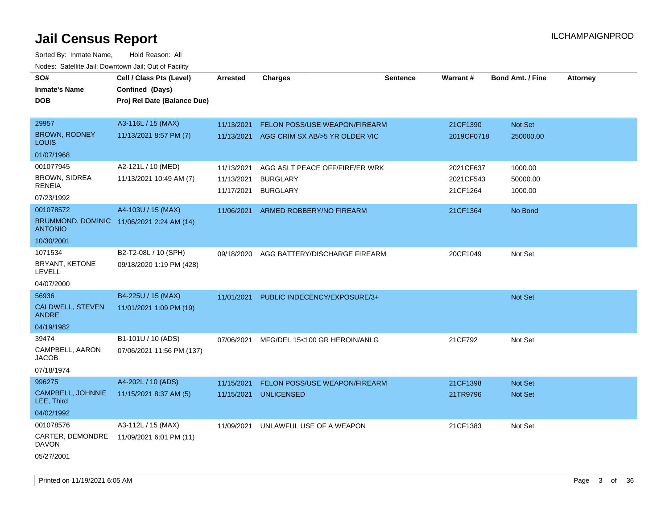| SO#<br><b>Inmate's Name</b><br><b>DOB</b>                   | Cell / Class Pts (Level)<br>Confined (Days)<br>Proj Rel Date (Balance Due) | <b>Arrested</b> | <b>Charges</b>                       | <b>Sentence</b> | Warrant#   | <b>Bond Amt. / Fine</b> | Attorney |
|-------------------------------------------------------------|----------------------------------------------------------------------------|-----------------|--------------------------------------|-----------------|------------|-------------------------|----------|
| 29957                                                       | A3-116L / 15 (MAX)                                                         | 11/13/2021      | FELON POSS/USE WEAPON/FIREARM        |                 | 21CF1390   | Not Set                 |          |
| <b>BROWN, RODNEY</b><br>Louis                               | 11/13/2021 8:57 PM (7)                                                     | 11/13/2021      | AGG CRIM SX AB/>5 YR OLDER VIC       |                 | 2019CF0718 | 250000.00               |          |
| 01/07/1968                                                  |                                                                            |                 |                                      |                 |            |                         |          |
| 001077945                                                   | A2-121L / 10 (MED)                                                         | 11/13/2021      | AGG ASLT PEACE OFF/FIRE/ER WRK       |                 | 2021CF637  | 1000.00                 |          |
| <b>BROWN, SIDREA</b><br>RENEIA                              | 11/13/2021 10:49 AM (7)                                                    | 11/13/2021      | <b>BURGLARY</b>                      |                 | 2021CF543  | 50000.00                |          |
| 07/23/1992                                                  |                                                                            | 11/17/2021      | <b>BURGLARY</b>                      |                 | 21CF1264   | 1000.00                 |          |
| 001078572                                                   | A4-103U / 15 (MAX)                                                         | 11/06/2021      | ARMED ROBBERY/NO FIREARM             |                 | 21CF1364   | No Bond                 |          |
| BRUMMOND, DOMINIC 11/06/2021 2:24 AM (14)<br><b>ANTONIO</b> |                                                                            |                 |                                      |                 |            |                         |          |
| 10/30/2001                                                  |                                                                            |                 |                                      |                 |            |                         |          |
| 1071534                                                     | B2-T2-08L / 10 (SPH)                                                       | 09/18/2020      | AGG BATTERY/DISCHARGE FIREARM        |                 | 20CF1049   | Not Set                 |          |
| BRYANT, KETONE<br><b>LEVELL</b>                             | 09/18/2020 1:19 PM (428)                                                   |                 |                                      |                 |            |                         |          |
| 04/07/2000                                                  |                                                                            |                 |                                      |                 |            |                         |          |
| 56936                                                       | B4-225U / 15 (MAX)                                                         | 11/01/2021      | PUBLIC INDECENCY/EXPOSURE/3+         |                 |            | Not Set                 |          |
| CALDWELL, STEVEN<br><b>ANDRE</b>                            | 11/01/2021 1:09 PM (19)                                                    |                 |                                      |                 |            |                         |          |
| 04/19/1982                                                  |                                                                            |                 |                                      |                 |            |                         |          |
| 39474                                                       | B1-101U / 10 (ADS)                                                         | 07/06/2021      | MFG/DEL 15<100 GR HEROIN/ANLG        |                 | 21CF792    | Not Set                 |          |
| CAMPBELL, AARON<br>JACOB                                    | 07/06/2021 11:56 PM (137)                                                  |                 |                                      |                 |            |                         |          |
| 07/18/1974                                                  |                                                                            |                 |                                      |                 |            |                         |          |
| 996275                                                      | A4-202L / 10 (ADS)                                                         | 11/15/2021      | <b>FELON POSS/USE WEAPON/FIREARM</b> |                 | 21CF1398   | <b>Not Set</b>          |          |
| CAMPBELL, JOHNNIE<br>LEE, Third                             | 11/15/2021 8:37 AM (5)                                                     | 11/15/2021      | <b>UNLICENSED</b>                    |                 | 21TR9796   | Not Set                 |          |
| 04/02/1992                                                  |                                                                            |                 |                                      |                 |            |                         |          |
| 001078576                                                   | A3-112L / 15 (MAX)                                                         | 11/09/2021      | UNLAWFUL USE OF A WEAPON             |                 | 21CF1383   | Not Set                 |          |
| CARTER, DEMONDRE<br>DAVON                                   | 11/09/2021 6:01 PM (11)                                                    |                 |                                      |                 |            |                         |          |
| 05/27/2001                                                  |                                                                            |                 |                                      |                 |            |                         |          |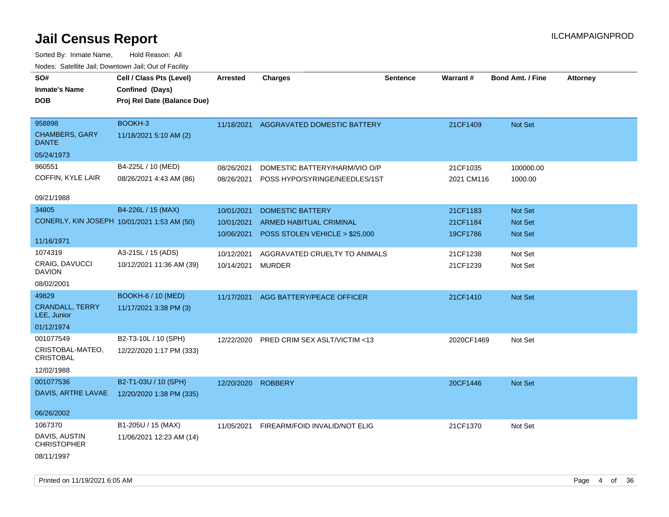| SO#                                         | Cell / Class Pts (Level)    | Arrested   | <b>Charges</b>                           | Sentence | Warrant#   | <b>Bond Amt. / Fine</b> | <b>Attorney</b> |
|---------------------------------------------|-----------------------------|------------|------------------------------------------|----------|------------|-------------------------|-----------------|
| <b>Inmate's Name</b>                        | Confined (Days)             |            |                                          |          |            |                         |                 |
| <b>DOB</b>                                  |                             |            |                                          |          |            |                         |                 |
|                                             | Proj Rel Date (Balance Due) |            |                                          |          |            |                         |                 |
| 958898                                      | BOOKH-3                     | 11/18/2021 | AGGRAVATED DOMESTIC BATTERY              |          | 21CF1409   | Not Set                 |                 |
| <b>CHAMBERS, GARY</b><br><b>DANTE</b>       | 11/18/2021 5:10 AM (2)      |            |                                          |          |            |                         |                 |
| 05/24/1973                                  |                             |            |                                          |          |            |                         |                 |
| 960551                                      | B4-225L / 10 (MED)          | 08/26/2021 | DOMESTIC BATTERY/HARM/VIO O/P            |          | 21CF1035   | 100000.00               |                 |
| COFFIN, KYLE LAIR                           | 08/26/2021 4:43 AM (86)     |            | 08/26/2021 POSS HYPO/SYRINGE/NEEDLES/1ST |          | 2021 CM116 | 1000.00                 |                 |
| 09/21/1988                                  |                             |            |                                          |          |            |                         |                 |
| 34805                                       | B4-226L / 15 (MAX)          | 10/01/2021 | <b>DOMESTIC BATTERY</b>                  |          | 21CF1183   | Not Set                 |                 |
| CONERLY, KIN JOSEPH 10/01/2021 1:53 AM (50) |                             | 10/01/2021 | <b>ARMED HABITUAL CRIMINAL</b>           |          | 21CF1184   | Not Set                 |                 |
|                                             |                             | 10/06/2021 | POSS STOLEN VEHICLE > \$25,000           |          | 19CF1786   | Not Set                 |                 |
| 11/16/1971                                  |                             |            |                                          |          |            |                         |                 |
| 1074319                                     | A3-215L / 15 (ADS)          | 10/12/2021 | AGGRAVATED CRUELTY TO ANIMALS            |          | 21CF1238   | Not Set                 |                 |
| CRAIG, DAVUCCI<br><b>DAVION</b>             | 10/12/2021 11:36 AM (39)    | 10/14/2021 | <b>MURDER</b>                            |          | 21CF1239   | Not Set                 |                 |
| 08/02/2001                                  |                             |            |                                          |          |            |                         |                 |
| 49829                                       | <b>BOOKH-6 / 10 (MED)</b>   | 11/17/2021 | AGG BATTERY/PEACE OFFICER                |          | 21CF1410   | Not Set                 |                 |
| <b>CRANDALL, TERRY</b><br>LEE, Junior       | 11/17/2021 3:38 PM (3)      |            |                                          |          |            |                         |                 |
| 01/12/1974                                  |                             |            |                                          |          |            |                         |                 |
| 001077549                                   | B2-T3-10L / 10 (SPH)        |            | 12/22/2020 PRED CRIM SEX ASLT/VICTIM <13 |          | 2020CF1469 | Not Set                 |                 |
| CRISTOBAL-MATEO,<br><b>CRISTOBAL</b>        | 12/22/2020 1:17 PM (333)    |            |                                          |          |            |                         |                 |
| 12/02/1988                                  |                             |            |                                          |          |            |                         |                 |
| 001077536                                   | B2-T1-03U / 10 (SPH)        | 12/20/2020 | <b>ROBBERY</b>                           |          | 20CF1446   | Not Set                 |                 |
| DAVIS, ARTRE LAVAE                          | 12/20/2020 1:38 PM (335)    |            |                                          |          |            |                         |                 |
| 06/26/2002                                  |                             |            |                                          |          |            |                         |                 |
| 1067370                                     | B1-205U / 15 (MAX)          | 11/05/2021 | FIREARM/FOID INVALID/NOT ELIG            |          | 21CF1370   | Not Set                 |                 |
| DAVIS, AUSTIN<br><b>CHRISTOPHER</b>         | 11/06/2021 12:23 AM (14)    |            |                                          |          |            |                         |                 |
| 08/11/1997                                  |                             |            |                                          |          |            |                         |                 |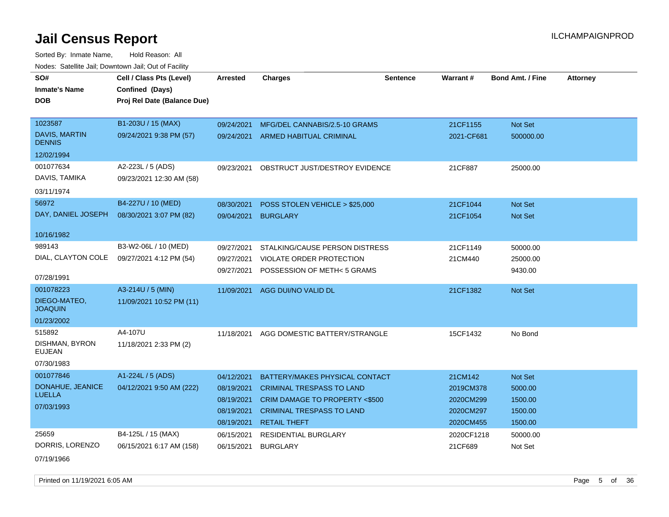| SO#<br><b>Inmate's Name</b>           | Cell / Class Pts (Level)<br>Confined (Days) | <b>Arrested</b> | <b>Charges</b>                     | <b>Sentence</b> | <b>Warrant#</b> | <b>Bond Amt. / Fine</b> | <b>Attorney</b> |
|---------------------------------------|---------------------------------------------|-----------------|------------------------------------|-----------------|-----------------|-------------------------|-----------------|
| <b>DOB</b>                            | Proj Rel Date (Balance Due)                 |                 |                                    |                 |                 |                         |                 |
| 1023587                               | B1-203U / 15 (MAX)                          | 09/24/2021      | MFG/DEL CANNABIS/2.5-10 GRAMS      |                 | 21CF1155        | Not Set                 |                 |
| <b>DAVIS, MARTIN</b><br><b>DENNIS</b> | 09/24/2021 9:38 PM (57)                     |                 | 09/24/2021 ARMED HABITUAL CRIMINAL |                 | 2021-CF681      | 500000.00               |                 |
| 12/02/1994                            |                                             |                 |                                    |                 |                 |                         |                 |
| 001077634                             | A2-223L / 5 (ADS)                           | 09/23/2021      | OBSTRUCT JUST/DESTROY EVIDENCE     |                 | 21CF887         | 25000.00                |                 |
| DAVIS, TAMIKA                         | 09/23/2021 12:30 AM (58)                    |                 |                                    |                 |                 |                         |                 |
| 03/11/1974                            |                                             |                 |                                    |                 |                 |                         |                 |
| 56972                                 | B4-227U / 10 (MED)                          | 08/30/2021      | POSS STOLEN VEHICLE > \$25,000     |                 | 21CF1044        | Not Set                 |                 |
| DAY, DANIEL JOSEPH                    | 08/30/2021 3:07 PM (82)                     |                 | 09/04/2021 BURGLARY                |                 | 21CF1054        | Not Set                 |                 |
|                                       |                                             |                 |                                    |                 |                 |                         |                 |
| 10/16/1982                            |                                             |                 |                                    |                 |                 |                         |                 |
| 989143                                | B3-W2-06L / 10 (MED)                        | 09/27/2021      | STALKING/CAUSE PERSON DISTRESS     |                 | 21CF1149        | 50000.00                |                 |
| DIAL, CLAYTON COLE                    | 09/27/2021 4:12 PM (54)                     | 09/27/2021      | VIOLATE ORDER PROTECTION           |                 | 21CM440         | 25000.00                |                 |
| 07/28/1991                            |                                             | 09/27/2021      | POSSESSION OF METH<5 GRAMS         |                 |                 | 9430.00                 |                 |
| 001078223                             | A3-214U / 5 (MIN)                           |                 |                                    |                 |                 |                         |                 |
| DIEGO-MATEO,                          | 11/09/2021 10:52 PM (11)                    | 11/09/2021      | AGG DUI/NO VALID DL                |                 | 21CF1382        | Not Set                 |                 |
| <b>JOAQUIN</b>                        |                                             |                 |                                    |                 |                 |                         |                 |
| 01/23/2002                            |                                             |                 |                                    |                 |                 |                         |                 |
| 515892                                | A4-107U                                     | 11/18/2021      | AGG DOMESTIC BATTERY/STRANGLE      |                 | 15CF1432        | No Bond                 |                 |
| DISHMAN, BYRON<br><b>EUJEAN</b>       | 11/18/2021 2:33 PM (2)                      |                 |                                    |                 |                 |                         |                 |
| 07/30/1983                            |                                             |                 |                                    |                 |                 |                         |                 |
| 001077846                             | A1-224L / 5 (ADS)                           | 04/12/2021      | BATTERY/MAKES PHYSICAL CONTACT     |                 | 21CM142         | Not Set                 |                 |
| DONAHUE, JEANICE                      | 04/12/2021 9:50 AM (222)                    | 08/19/2021      | <b>CRIMINAL TRESPASS TO LAND</b>   |                 | 2019CM378       | 5000.00                 |                 |
| <b>LUELLA</b>                         |                                             | 08/19/2021      | CRIM DAMAGE TO PROPERTY <\$500     |                 | 2020CM299       | 1500.00                 |                 |
| 07/03/1993                            |                                             | 08/19/2021      | <b>CRIMINAL TRESPASS TO LAND</b>   |                 | 2020CM297       | 1500.00                 |                 |
|                                       |                                             | 08/19/2021      | <b>RETAIL THEFT</b>                |                 | 2020CM455       | 1500.00                 |                 |
| 25659                                 | B4-125L / 15 (MAX)                          | 06/15/2021      | RESIDENTIAL BURGLARY               |                 | 2020CF1218      | 50000.00                |                 |
| DORRIS, LORENZO                       | 06/15/2021 6:17 AM (158)                    | 06/15/2021      | <b>BURGLARY</b>                    |                 | 21CF689         | Not Set                 |                 |
| 07/19/1966                            |                                             |                 |                                    |                 |                 |                         |                 |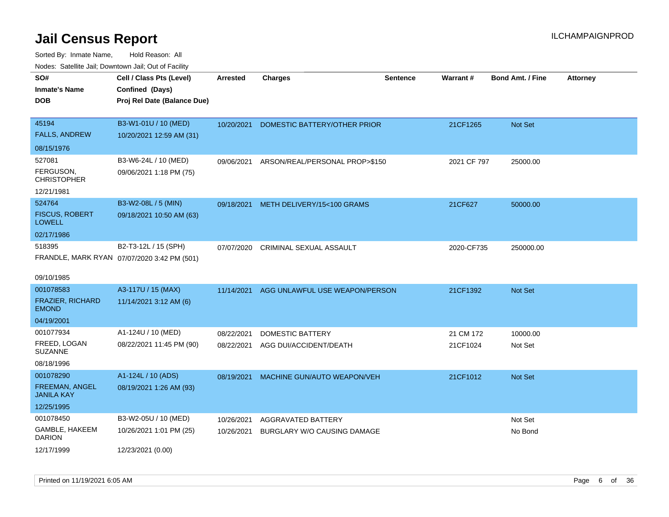| rouco. Calcillo Jali, Downtown Jali, Out of Facility                  |                                                                            |                          |                                                   |                 |                       |                         |                 |
|-----------------------------------------------------------------------|----------------------------------------------------------------------------|--------------------------|---------------------------------------------------|-----------------|-----------------------|-------------------------|-----------------|
| SO#<br>Inmate's Name<br>DOB                                           | Cell / Class Pts (Level)<br>Confined (Days)<br>Proj Rel Date (Balance Due) | <b>Arrested</b>          | <b>Charges</b>                                    | <b>Sentence</b> | Warrant#              | <b>Bond Amt. / Fine</b> | <b>Attorney</b> |
| 45194<br><b>FALLS, ANDREW</b><br>08/15/1976                           | B3-W1-01U / 10 (MED)<br>10/20/2021 12:59 AM (31)                           | 10/20/2021               | DOMESTIC BATTERY/OTHER PRIOR                      |                 | 21CF1265              | Not Set                 |                 |
| 527081<br>FERGUSON,<br><b>CHRISTOPHER</b><br>12/21/1981               | B3-W6-24L / 10 (MED)<br>09/06/2021 1:18 PM (75)                            | 09/06/2021               | ARSON/REAL/PERSONAL PROP>\$150                    |                 | 2021 CF 797           | 25000.00                |                 |
| 524764<br><b>FISCUS, ROBERT</b><br>LOWELL<br>02/17/1986               | B3-W2-08L / 5 (MIN)<br>09/18/2021 10:50 AM (63)                            |                          | 09/18/2021 METH DELIVERY/15<100 GRAMS             |                 | 21CF627               | 50000.00                |                 |
| 518395<br>09/10/1985                                                  | B2-T3-12L / 15 (SPH)<br>FRANDLE, MARK RYAN 07/07/2020 3:42 PM (501)        | 07/07/2020               | CRIMINAL SEXUAL ASSAULT                           |                 | 2020-CF735            | 250000.00               |                 |
| 001078583<br>FRAZIER, RICHARD<br><b>EMOND</b><br>04/19/2001           | A3-117U / 15 (MAX)<br>11/14/2021 3:12 AM (6)                               | 11/14/2021               | AGG UNLAWFUL USE WEAPON/PERSON                    |                 | 21CF1392              | <b>Not Set</b>          |                 |
| 001077934<br>FREED, LOGAN<br><b>SUZANNE</b><br>08/18/1996             | A1-124U / 10 (MED)<br>08/22/2021 11:45 PM (90)                             | 08/22/2021<br>08/22/2021 | DOMESTIC BATTERY<br>AGG DUI/ACCIDENT/DEATH        |                 | 21 CM 172<br>21CF1024 | 10000.00<br>Not Set     |                 |
| 001078290<br><b>FREEMAN, ANGEL</b><br><b>JANILA KAY</b><br>12/25/1995 | A1-124L / 10 (ADS)<br>08/19/2021 1:26 AM (93)                              | 08/19/2021               | MACHINE GUN/AUTO WEAPON/VEH                       |                 | 21CF1012              | <b>Not Set</b>          |                 |
| 001078450<br>GAMBLE, HAKEEM<br>DARION<br>12/17/1999                   | B3-W2-05U / 10 (MED)<br>10/26/2021 1:01 PM (25)<br>12/23/2021 (0.00)       | 10/26/2021<br>10/26/2021 | AGGRAVATED BATTERY<br>BURGLARY W/O CAUSING DAMAGE |                 |                       | Not Set<br>No Bond      |                 |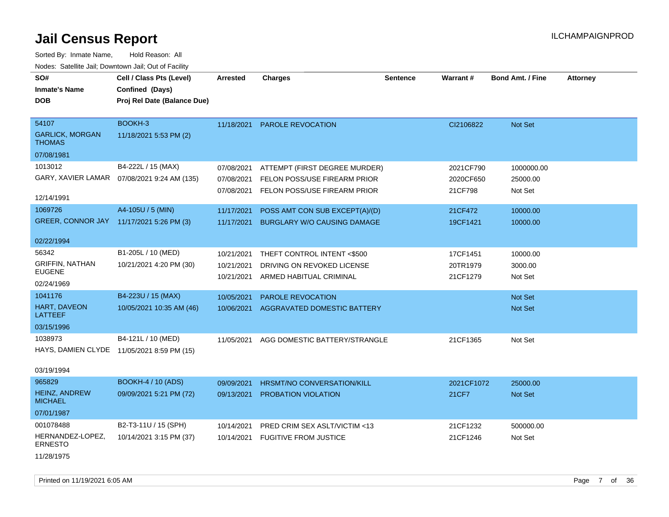**DOB SO# Inmate's Name Cell / Class Pts (Level) Arrested Charges Warrant # Bond Amt. / Fine Attorney Confined (Days) Sentence Proj Rel Date (Balance Due)** GARLICK, MORGAN THOMAS 54107 BOOKH-3 11/18/2021 5:53 PM (2) 07/08/1981 11/18/2021 PAROLE REVOCATION CI2106822 Not Set GARY, XAVIER LAMAR 07/08/2021 9:24 AM (135) 1013012 B4-222L / 15 (MAX) 12/14/1991 07/08/2021 ATTEMPT (FIRST DEGREE MURDER) 2021CF790 1000000.00 07/08/2021 FELON POSS/USE FIREARM PRIOR 2020CF650 25000.00 07/08/2021 FELON POSS/USE FIREARM PRIOR 21CF798 Not Set GREER, CONNOR JAY 11/17/2021 5:26 PM (3) 1069726 A4-105U / 5 (MIN) 02/22/1994 11/17/2021 POSS AMT CON SUB EXCEPT(A)/(D) 21CF472 10000.00 11/17/2021 BURGLARY W/O CAUSING DAMAGE 19CF1421 10000.00 GRIFFIN, NATHAN EUGENE 56342 B1-205L / 10 (MED) 10/21/2021 4:20 PM (30) 02/24/1969 10/21/2021 THEFT CONTROL INTENT <\$500 17CF1451 10000.00 10/21/2021 DRIVING ON REVOKED LICENSE 20TR1979 3000.00 10/21/2021 ARMED HABITUAL CRIMINAL 21CF1279 Not Set HART, DAVEON LATTEEF 1041176 B4-223U / 15 (MAX) 10/05/2021 10:35 AM (46) 03/15/1996 10/05/2021 PAROLE REVOCATION Not Set Not Set Not Set Not Set Not Set Not Set Not Set Not Set Not Set Not Set N 10/06/2021 AGGRAVATED DOMESTIC BATTERY Not Set Not Set Not Set HAYS, DAMIEN CLYDE 11/05/2021 8:59 PM (15) 1038973 B4-121L / 10 (MED) 03/19/1994 11/05/2021 AGG DOMESTIC BATTERY/STRANGLE 21CF1365 Not Set HEINZ, ANDREW **MICHAEL** 965829 BOOKH-4 / 10 (ADS) 09/09/2021 5:21 PM (72) 07/01/1987 09/09/2021 HRSMT/NO CONVERSATION/KILL 2021CF1072 25000.00 09/13/2021 PROBATION VIOLATION 2001 2002 21 22 21 CF7 Not Set HERNANDEZ-LOPEZ, ERNESTO 001078488 B2-T3-11U / 15 (SPH) 10/14/2021 3:15 PM (37) 10/14/2021 PRED CRIM SEX ASLT/VICTIM <13 21CF1232 500000.00 10/14/2021 FUGITIVE FROM JUSTICE 21CF1246 Not Set Sorted By: Inmate Name, Hold Reason: All Nodes: Satellite Jail; Downtown Jail; Out of Facility

11/28/1975

Printed on 11/19/2021 6:05 AM Page 7 of 36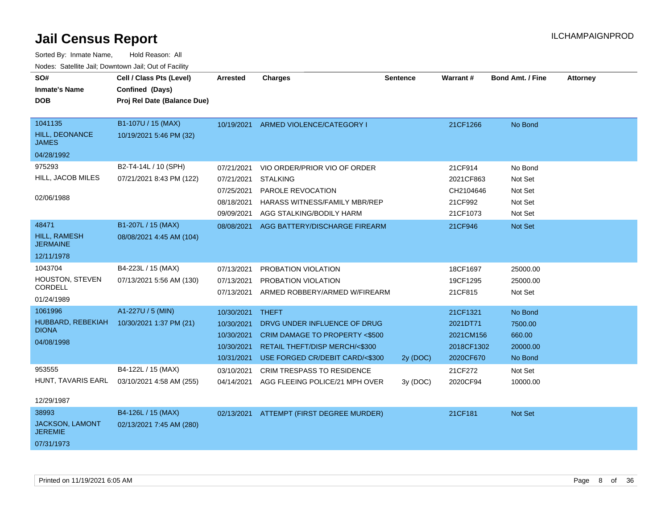| SO#<br><b>Inmate's Name</b><br><b>DOB</b>                       | Cell / Class Pts (Level)<br>Confined (Days)<br>Proj Rel Date (Balance Due) | <b>Arrested</b>                                                          | <b>Charges</b>                                                                                                                                | <b>Sentence</b> | <b>Warrant#</b>                                              | <b>Bond Amt. / Fine</b>                             | <b>Attorney</b> |
|-----------------------------------------------------------------|----------------------------------------------------------------------------|--------------------------------------------------------------------------|-----------------------------------------------------------------------------------------------------------------------------------------------|-----------------|--------------------------------------------------------------|-----------------------------------------------------|-----------------|
| 1041135<br><b>HILL, DEONANCE</b><br><b>JAMES</b>                | B1-107U / 15 (MAX)<br>10/19/2021 5:46 PM (32)                              |                                                                          | 10/19/2021 ARMED VIOLENCE/CATEGORY I                                                                                                          |                 | 21CF1266                                                     | No Bond                                             |                 |
| 04/28/1992<br>975293<br>HILL, JACOB MILES<br>02/06/1988         | B2-T4-14L / 10 (SPH)<br>07/21/2021 8:43 PM (122)                           | 07/21/2021<br>07/21/2021<br>07/25/2021<br>08/18/2021<br>09/09/2021       | VIO ORDER/PRIOR VIO OF ORDER<br><b>STALKING</b><br>PAROLE REVOCATION<br><b>HARASS WITNESS/FAMILY MBR/REP</b><br>AGG STALKING/BODILY HARM      |                 | 21CF914<br>2021CF863<br>CH2104646<br>21CF992<br>21CF1073     | No Bond<br>Not Set<br>Not Set<br>Not Set<br>Not Set |                 |
| 48471<br>HILL, RAMESH<br><b>JERMAINE</b><br>12/11/1978          | B1-207L / 15 (MAX)<br>08/08/2021 4:45 AM (104)                             | 08/08/2021                                                               | AGG BATTERY/DISCHARGE FIREARM                                                                                                                 |                 | 21CF946                                                      | Not Set                                             |                 |
| 1043704<br>HOUSTON, STEVEN<br>CORDELL<br>01/24/1989             | B4-223L / 15 (MAX)<br>07/13/2021 5:56 AM (130)                             | 07/13/2021<br>07/13/2021<br>07/13/2021                                   | PROBATION VIOLATION<br>PROBATION VIOLATION<br>ARMED ROBBERY/ARMED W/FIREARM                                                                   |                 | 18CF1697<br>19CF1295<br>21CF815                              | 25000.00<br>25000.00<br>Not Set                     |                 |
| 1061996<br>HUBBARD, REBEKIAH<br><b>DIONA</b><br>04/08/1998      | A1-227U / 5 (MIN)<br>10/30/2021 1:37 PM (21)                               | 10/30/2021 THEFT<br>10/30/2021<br>10/30/2021<br>10/30/2021<br>10/31/2021 | DRVG UNDER INFLUENCE OF DRUG<br>CRIM DAMAGE TO PROPERTY <\$500<br><b>RETAIL THEFT/DISP MERCH/&lt;\$300</b><br>USE FORGED CR/DEBIT CARD/<\$300 | 2y (DOC)        | 21CF1321<br>2021DT71<br>2021CM156<br>2018CF1302<br>2020CF670 | No Bond<br>7500.00<br>660.00<br>20000.00<br>No Bond |                 |
| 953555<br>HUNT, TAVARIS EARL<br>12/29/1987                      | B4-122L / 15 (MAX)<br>03/10/2021 4:58 AM (255)                             | 03/10/2021<br>04/14/2021                                                 | CRIM TRESPASS TO RESIDENCE<br>AGG FLEEING POLICE/21 MPH OVER                                                                                  | 3y (DOC)        | 21CF272<br>2020CF94                                          | Not Set<br>10000.00                                 |                 |
| 38993<br><b>JACKSON, LAMONT</b><br><b>JEREMIE</b><br>07/31/1973 | B4-126L / 15 (MAX)<br>02/13/2021 7:45 AM (280)                             |                                                                          | 02/13/2021 ATTEMPT (FIRST DEGREE MURDER)                                                                                                      |                 | 21CF181                                                      | Not Set                                             |                 |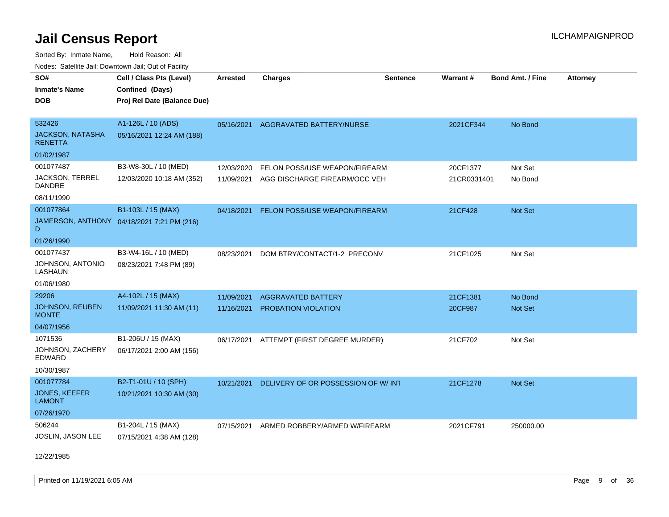Sorted By: Inmate Name, Hold Reason: All Nodes: Satellite Jail; Downtown Jail; Out of Facility

| rougs. Calcinic Jan, Downtown Jan, Out of Facility |                                            |                 |                                          |                 |             |                         |                 |
|----------------------------------------------------|--------------------------------------------|-----------------|------------------------------------------|-----------------|-------------|-------------------------|-----------------|
| SO#                                                | Cell / Class Pts (Level)                   | <b>Arrested</b> | <b>Charges</b>                           | <b>Sentence</b> | Warrant#    | <b>Bond Amt. / Fine</b> | <b>Attorney</b> |
| <b>Inmate's Name</b>                               | Confined (Days)                            |                 |                                          |                 |             |                         |                 |
| <b>DOB</b>                                         | Proj Rel Date (Balance Due)                |                 |                                          |                 |             |                         |                 |
|                                                    |                                            |                 |                                          |                 |             |                         |                 |
| 532426                                             | A1-126L / 10 (ADS)                         | 05/16/2021      | AGGRAVATED BATTERY/NURSE                 |                 | 2021CF344   | No Bond                 |                 |
| <b>JACKSON, NATASHA</b><br><b>RENETTA</b>          | 05/16/2021 12:24 AM (188)                  |                 |                                          |                 |             |                         |                 |
| 01/02/1987                                         |                                            |                 |                                          |                 |             |                         |                 |
| 001077487                                          | B3-W8-30L / 10 (MED)                       | 12/03/2020      | FELON POSS/USE WEAPON/FIREARM            |                 | 20CF1377    | Not Set                 |                 |
| <b>JACKSON, TERREL</b><br><b>DANDRE</b>            | 12/03/2020 10:18 AM (352)                  | 11/09/2021      | AGG DISCHARGE FIREARM/OCC VEH            |                 | 21CR0331401 | No Bond                 |                 |
| 08/11/1990                                         |                                            |                 |                                          |                 |             |                         |                 |
| 001077864                                          | B1-103L / 15 (MAX)                         | 04/18/2021      | <b>FELON POSS/USE WEAPON/FIREARM</b>     |                 | 21CF428     | Not Set                 |                 |
| D                                                  | JAMERSON, ANTHONY 04/18/2021 7:21 PM (216) |                 |                                          |                 |             |                         |                 |
| 01/26/1990                                         |                                            |                 |                                          |                 |             |                         |                 |
| 001077437                                          | B3-W4-16L / 10 (MED)                       | 08/23/2021      | DOM BTRY/CONTACT/1-2 PRECONV             |                 | 21CF1025    | Not Set                 |                 |
| JOHNSON, ANTONIO<br>LASHAUN                        | 08/23/2021 7:48 PM (89)                    |                 |                                          |                 |             |                         |                 |
| 01/06/1980                                         |                                            |                 |                                          |                 |             |                         |                 |
| 29206                                              | A4-102L / 15 (MAX)                         | 11/09/2021      | <b>AGGRAVATED BATTERY</b>                |                 | 21CF1381    | No Bond                 |                 |
| <b>JOHNSON, REUBEN</b><br><b>MONTE</b>             | 11/09/2021 11:30 AM (11)                   | 11/16/2021      | PROBATION VIOLATION                      |                 | 20CF987     | <b>Not Set</b>          |                 |
| 04/07/1956                                         |                                            |                 |                                          |                 |             |                         |                 |
| 1071536                                            | B1-206U / 15 (MAX)                         |                 | 06/17/2021 ATTEMPT (FIRST DEGREE MURDER) |                 | 21CF702     | Not Set                 |                 |
| JOHNSON, ZACHERY<br><b>EDWARD</b>                  | 06/17/2021 2:00 AM (156)                   |                 |                                          |                 |             |                         |                 |
| 10/30/1987                                         |                                            |                 |                                          |                 |             |                         |                 |
| 001077784                                          | B2-T1-01U / 10 (SPH)                       | 10/21/2021      | DELIVERY OF OR POSSESSION OF W/INT       |                 | 21CF1278    | Not Set                 |                 |
| <b>JONES, KEEFER</b><br><b>LAMONT</b>              | 10/21/2021 10:30 AM (30)                   |                 |                                          |                 |             |                         |                 |
| 07/26/1970                                         |                                            |                 |                                          |                 |             |                         |                 |
| 506244                                             | B1-204L / 15 (MAX)                         | 07/15/2021      | ARMED ROBBERY/ARMED W/FIREARM            |                 | 2021CF791   | 250000.00               |                 |
| <b>JOSLIN, JASON LEE</b>                           | 07/15/2021 4:38 AM (128)                   |                 |                                          |                 |             |                         |                 |

12/22/1985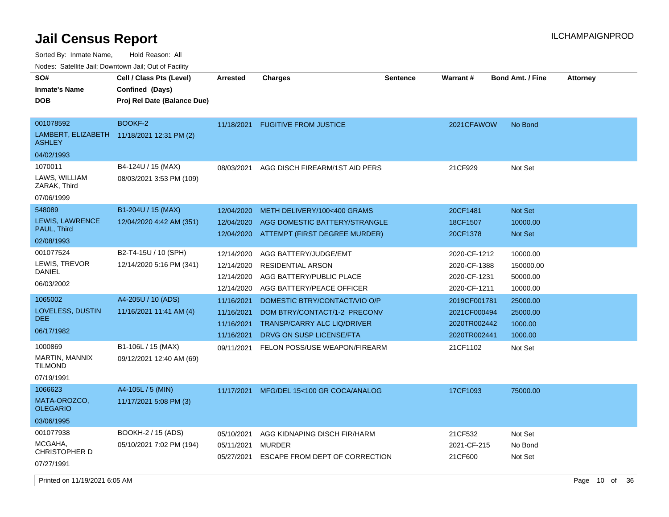Sorted By: Inmate Name, Hold Reason: All

Nodes: Satellite Jail; Downtown Jail; Out of Facility

| SO#<br><b>Inmate's Name</b><br><b>DOB</b>                                                   | Cell / Class Pts (Level)<br>Confined (Days)<br>Proj Rel Date (Balance Due) | <b>Arrested</b>                                      | <b>Charges</b>                                                                                                                  | <b>Sentence</b> | <b>Warrant#</b>                                              | <b>Bond Amt. / Fine</b>                       | <b>Attorney</b> |  |
|---------------------------------------------------------------------------------------------|----------------------------------------------------------------------------|------------------------------------------------------|---------------------------------------------------------------------------------------------------------------------------------|-----------------|--------------------------------------------------------------|-----------------------------------------------|-----------------|--|
| 001078592<br><b>ASHLEY</b><br>04/02/1993                                                    | <b>BOOKF-2</b><br>LAMBERT, ELIZABETH 11/18/2021 12:31 PM (2)               | 11/18/2021                                           | <b>FUGITIVE FROM JUSTICE</b>                                                                                                    |                 | 2021CFAWOW                                                   | No Bond                                       |                 |  |
| 1070011<br>LAWS, WILLIAM<br>ZARAK, Third<br>07/06/1999                                      | B4-124U / 15 (MAX)<br>08/03/2021 3:53 PM (109)                             | 08/03/2021                                           | AGG DISCH FIREARM/1ST AID PERS                                                                                                  |                 | 21CF929                                                      | Not Set                                       |                 |  |
| 548089<br><b>LEWIS, LAWRENCE</b><br>PAUL, Third<br>02/08/1993                               | B1-204U / 15 (MAX)<br>12/04/2020 4:42 AM (351)                             | 12/04/2020<br>12/04/2020<br>12/04/2020               | METH DELIVERY/100<400 GRAMS<br>AGG DOMESTIC BATTERY/STRANGLE<br>ATTEMPT (FIRST DEGREE MURDER)                                   |                 | 20CF1481<br>18CF1507<br>20CF1378                             | Not Set<br>10000.00<br><b>Not Set</b>         |                 |  |
| 001077524<br>LEWIS, TREVOR<br><b>DANIEL</b><br>06/03/2002                                   | B2-T4-15U / 10 (SPH)<br>12/14/2020 5:16 PM (341)                           | 12/14/2020<br>12/14/2020<br>12/14/2020<br>12/14/2020 | AGG BATTERY/JUDGE/EMT<br><b>RESIDENTIAL ARSON</b><br>AGG BATTERY/PUBLIC PLACE<br>AGG BATTERY/PEACE OFFICER                      |                 | 2020-CF-1212<br>2020-CF-1388<br>2020-CF-1231<br>2020-CF-1211 | 10000.00<br>150000.00<br>50000.00<br>10000.00 |                 |  |
| 1065002<br>LOVELESS, DUSTIN<br><b>DEE</b><br>06/17/1982                                     | A4-205U / 10 (ADS)<br>11/16/2021 11:41 AM (4)                              | 11/16/2021<br>11/16/2021<br>11/16/2021<br>11/16/2021 | DOMESTIC BTRY/CONTACT/VIO O/P<br>DOM BTRY/CONTACT/1-2 PRECONV<br><b>TRANSP/CARRY ALC LIQ/DRIVER</b><br>DRVG ON SUSP LICENSE/FTA |                 | 2019CF001781<br>2021CF000494<br>2020TR002442<br>2020TR002441 | 25000.00<br>25000.00<br>1000.00<br>1000.00    |                 |  |
| 1000869<br>MARTIN, MANNIX<br><b>TILMOND</b><br>07/19/1991                                   | B1-106L / 15 (MAX)<br>09/12/2021 12:40 AM (69)                             | 09/11/2021                                           | FELON POSS/USE WEAPON/FIREARM                                                                                                   |                 | 21CF1102                                                     | Not Set                                       |                 |  |
| 1066623<br>MATA-OROZCO,<br><b>OLEGARIO</b><br>03/06/1995                                    | A4-105L / 5 (MIN)<br>11/17/2021 5:08 PM (3)                                | 11/17/2021                                           | MFG/DEL 15<100 GR COCA/ANALOG                                                                                                   |                 | 17CF1093                                                     | 75000.00                                      |                 |  |
| 001077938<br>MCGAHA,<br><b>CHRISTOPHER D</b><br>07/27/1991<br>Printed on 11/19/2021 6:05 AM | <b>BOOKH-2 / 15 (ADS)</b><br>05/10/2021 7:02 PM (194)                      | 05/10/2021<br>05/11/2021<br>05/27/2021               | AGG KIDNAPING DISCH FIR/HARM<br>MURDER<br>ESCAPE FROM DEPT OF CORRECTION                                                        |                 | 21CF532<br>2021-CF-215<br>21CF600                            | Not Set<br>No Bond<br>Not Set                 | Page 10 of 36   |  |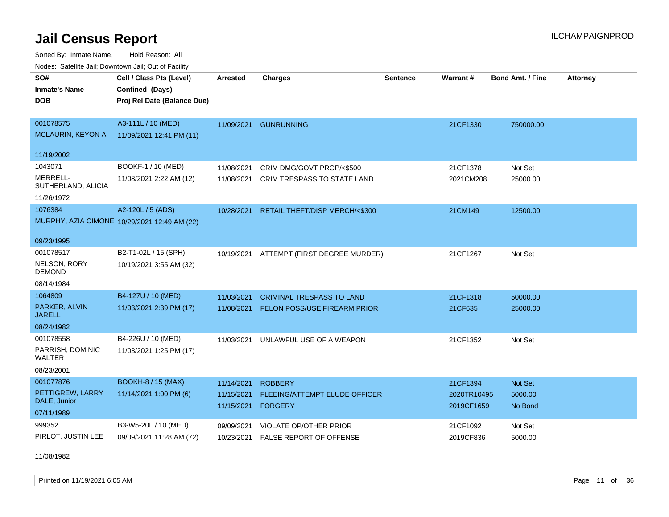Sorted By: Inmate Name, Hold Reason: All Nodes: Satellite Jail; Downtown Jail; Out of Facility

| wacs. Calcillic Jali, Downtown Jali, Out of Facility |                                              |                          |                                                 |                 |                           |                         |                 |
|------------------------------------------------------|----------------------------------------------|--------------------------|-------------------------------------------------|-----------------|---------------------------|-------------------------|-----------------|
| SO#                                                  | Cell / Class Pts (Level)                     | <b>Arrested</b>          | <b>Charges</b>                                  | <b>Sentence</b> | Warrant#                  | <b>Bond Amt. / Fine</b> | <b>Attorney</b> |
| <b>Inmate's Name</b>                                 | Confined (Days)                              |                          |                                                 |                 |                           |                         |                 |
| <b>DOB</b>                                           | Proj Rel Date (Balance Due)                  |                          |                                                 |                 |                           |                         |                 |
|                                                      |                                              |                          |                                                 |                 |                           |                         |                 |
| 001078575                                            | A3-111L / 10 (MED)                           |                          | 11/09/2021 GUNRUNNING                           |                 | 21CF1330                  | 750000.00               |                 |
| <b>MCLAURIN, KEYON A</b>                             | 11/09/2021 12:41 PM (11)                     |                          |                                                 |                 |                           |                         |                 |
| 11/19/2002                                           |                                              |                          |                                                 |                 |                           |                         |                 |
| 1043071                                              | BOOKF-1 / 10 (MED)                           | 11/08/2021               | CRIM DMG/GOVT PROP/<\$500                       |                 | 21CF1378                  | Not Set                 |                 |
| MERRELL-<br>SUTHERLAND, ALICIA                       | 11/08/2021 2:22 AM (12)                      | 11/08/2021               | CRIM TRESPASS TO STATE LAND                     |                 | 2021CM208                 | 25000.00                |                 |
| 11/26/1972                                           |                                              |                          |                                                 |                 |                           |                         |                 |
| 1076384                                              | A2-120L / 5 (ADS)                            | 10/28/2021               | RETAIL THEFT/DISP MERCH/<\$300                  |                 | 21CM149                   | 12500.00                |                 |
|                                                      | MURPHY, AZIA CIMONE 10/29/2021 12:49 AM (22) |                          |                                                 |                 |                           |                         |                 |
| 09/23/1995                                           |                                              |                          |                                                 |                 |                           |                         |                 |
| 001078517                                            | B2-T1-02L / 15 (SPH)                         | 10/19/2021               | ATTEMPT (FIRST DEGREE MURDER)                   |                 | 21CF1267                  | Not Set                 |                 |
| NELSON, RORY<br><b>DEMOND</b>                        | 10/19/2021 3:55 AM (32)                      |                          |                                                 |                 |                           |                         |                 |
| 08/14/1984                                           |                                              |                          |                                                 |                 |                           |                         |                 |
| 1064809                                              | B4-127U / 10 (MED)                           | 11/03/2021               | <b>CRIMINAL TRESPASS TO LAND</b>                |                 | 21CF1318                  | 50000.00                |                 |
| PARKER, ALVIN<br><b>JARELL</b>                       | 11/03/2021 2:39 PM (17)                      | 11/08/2021               | FELON POSS/USE FIREARM PRIOR                    |                 | 21CF635                   | 25000.00                |                 |
| 08/24/1982                                           |                                              |                          |                                                 |                 |                           |                         |                 |
| 001078558                                            | B4-226U / 10 (MED)                           | 11/03/2021               | UNLAWFUL USE OF A WEAPON                        |                 | 21CF1352                  | Not Set                 |                 |
| PARRISH, DOMINIC<br><b>WALTER</b>                    | 11/03/2021 1:25 PM (17)                      |                          |                                                 |                 |                           |                         |                 |
| 08/23/2001                                           |                                              |                          |                                                 |                 |                           |                         |                 |
| 001077876                                            | <b>BOOKH-8 / 15 (MAX)</b>                    | 11/14/2021               | <b>ROBBERY</b>                                  |                 | 21CF1394                  | <b>Not Set</b>          |                 |
| PETTIGREW, LARRY<br>DALE, Junior                     | 11/14/2021 1:00 PM (6)                       | 11/15/2021<br>11/15/2021 | FLEEING/ATTEMPT ELUDE OFFICER<br><b>FORGERY</b> |                 | 2020TR10495<br>2019CF1659 | 5000.00<br>No Bond      |                 |
| 07/11/1989                                           |                                              |                          |                                                 |                 |                           |                         |                 |
| 999352                                               | B3-W5-20L / 10 (MED)                         | 09/09/2021               | VIOLATE OP/OTHER PRIOR                          |                 | 21CF1092                  | Not Set                 |                 |
| PIRLOT, JUSTIN LEE                                   | 09/09/2021 11:28 AM (72)                     | 10/23/2021               | <b>FALSE REPORT OF OFFENSE</b>                  |                 | 2019CF836                 | 5000.00                 |                 |

11/08/1982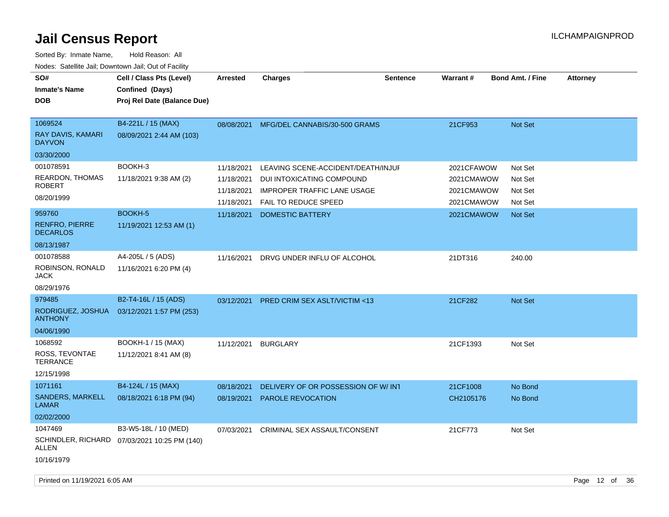| SO#<br><b>Inmate's Name</b><br><b>DOB</b>            | Cell / Class Pts (Level)<br>Confined (Days)<br>Proj Rel Date (Balance Due) | <b>Arrested</b> | <b>Charges</b>                           | <b>Sentence</b> | <b>Warrant#</b> | <b>Bond Amt. / Fine</b> | <b>Attorney</b> |
|------------------------------------------------------|----------------------------------------------------------------------------|-----------------|------------------------------------------|-----------------|-----------------|-------------------------|-----------------|
| 1069524<br>RAY DAVIS, KAMARI<br><b>DAYVON</b>        | B4-221L / 15 (MAX)<br>08/09/2021 2:44 AM (103)                             |                 | 08/08/2021 MFG/DEL CANNABIS/30-500 GRAMS |                 | 21CF953         | Not Set                 |                 |
| 03/30/2000                                           |                                                                            |                 |                                          |                 |                 |                         |                 |
| 001078591                                            | BOOKH-3                                                                    | 11/18/2021      | LEAVING SCENE-ACCIDENT/DEATH/INJUF       |                 | 2021CFAWOW      | Not Set                 |                 |
| <b>REARDON, THOMAS</b><br><b>ROBERT</b>              | 11/18/2021 9:38 AM (2)                                                     | 11/18/2021      | DUI INTOXICATING COMPOUND                |                 | 2021CMAWOW      | Not Set                 |                 |
|                                                      |                                                                            | 11/18/2021      | <b>IMPROPER TRAFFIC LANE USAGE</b>       |                 | 2021CMAWOW      | Not Set                 |                 |
| 08/20/1999                                           |                                                                            | 11/18/2021      | <b>FAIL TO REDUCE SPEED</b>              |                 | 2021CMAWOW      | Not Set                 |                 |
| 959760                                               | <b>BOOKH-5</b>                                                             | 11/18/2021      | <b>DOMESTIC BATTERY</b>                  |                 | 2021CMAWOW      | Not Set                 |                 |
| <b>RENFRO, PIERRE</b><br><b>DECARLOS</b>             | 11/19/2021 12:53 AM (1)                                                    |                 |                                          |                 |                 |                         |                 |
| 08/13/1987                                           |                                                                            |                 |                                          |                 |                 |                         |                 |
| 001078588<br>ROBINSON, RONALD<br>JACK                | A4-205L / 5 (ADS)<br>11/16/2021 6:20 PM (4)                                | 11/16/2021      | DRVG UNDER INFLU OF ALCOHOL              |                 | 21DT316         | 240.00                  |                 |
| 08/29/1976                                           |                                                                            |                 |                                          |                 |                 |                         |                 |
| 979485                                               | B2-T4-16L / 15 (ADS)                                                       | 03/12/2021      | PRED CRIM SEX ASLT/VICTIM <13            |                 | 21CF282         | <b>Not Set</b>          |                 |
| RODRIGUEZ, JOSHUA<br><b>ANTHONY</b>                  | 03/12/2021 1:57 PM (253)                                                   |                 |                                          |                 |                 |                         |                 |
| 04/06/1990                                           |                                                                            |                 |                                          |                 |                 |                         |                 |
| 1068592                                              | BOOKH-1 / 15 (MAX)                                                         | 11/12/2021      | <b>BURGLARY</b>                          |                 | 21CF1393        | Not Set                 |                 |
| ROSS, TEVONTAE<br><b>TERRANCE</b>                    | 11/12/2021 8:41 AM (8)                                                     |                 |                                          |                 |                 |                         |                 |
| 12/15/1998                                           |                                                                            |                 |                                          |                 |                 |                         |                 |
| 1071161                                              | B4-124L / 15 (MAX)                                                         | 08/18/2021      | DELIVERY OF OR POSSESSION OF W/INT       |                 | 21CF1008        | No Bond                 |                 |
| SANDERS, MARKELL<br><b>LAMAR</b>                     | 08/18/2021 6:18 PM (94)                                                    | 08/19/2021      | PAROLE REVOCATION                        |                 | CH2105176       | No Bond                 |                 |
| 02/02/2000                                           |                                                                            |                 |                                          |                 |                 |                         |                 |
| 1047469<br><b>SCHINDLER, RICHARD</b><br><b>ALLEN</b> | B3-W5-18L / 10 (MED)<br>07/03/2021 10:25 PM (140)                          | 07/03/2021      | CRIMINAL SEX ASSAULT/CONSENT             |                 | 21CF773         | Not Set                 |                 |
| 10/16/1979                                           |                                                                            |                 |                                          |                 |                 |                         |                 |
|                                                      |                                                                            |                 |                                          |                 |                 |                         |                 |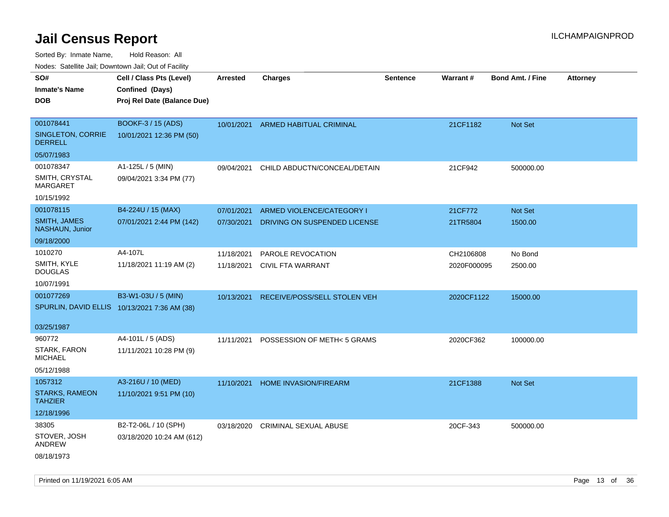Sorted By: Inmate Name, Hold Reason: All

| Nodes: Satellite Jail: Downtown Jail: Out of Facility |                                              |                 |                                |                 |                 |                  |                 |
|-------------------------------------------------------|----------------------------------------------|-----------------|--------------------------------|-----------------|-----------------|------------------|-----------------|
| SO#                                                   | Cell / Class Pts (Level)                     | <b>Arrested</b> | <b>Charges</b>                 | <b>Sentence</b> | <b>Warrant#</b> | Bond Amt. / Fine | <b>Attorney</b> |
| <b>Inmate's Name</b>                                  | Confined (Days)                              |                 |                                |                 |                 |                  |                 |
| <b>DOB</b>                                            | Proj Rel Date (Balance Due)                  |                 |                                |                 |                 |                  |                 |
|                                                       |                                              |                 |                                |                 |                 |                  |                 |
| 001078441                                             | BOOKF-3 / 15 (ADS)                           | 10/01/2021      | <b>ARMED HABITUAL CRIMINAL</b> |                 | 21CF1182        | <b>Not Set</b>   |                 |
| SINGLETON, CORRIE<br><b>DERRELL</b>                   | 10/01/2021 12:36 PM (50)                     |                 |                                |                 |                 |                  |                 |
| 05/07/1983                                            |                                              |                 |                                |                 |                 |                  |                 |
| 001078347                                             | A1-125L / 5 (MIN)                            | 09/04/2021      | CHILD ABDUCTN/CONCEAL/DETAIN   |                 | 21CF942         | 500000.00        |                 |
| SMITH, CRYSTAL<br><b>MARGARET</b>                     | 09/04/2021 3:34 PM (77)                      |                 |                                |                 |                 |                  |                 |
| 10/15/1992                                            |                                              |                 |                                |                 |                 |                  |                 |
| 001078115                                             | B4-224U / 15 (MAX)                           | 07/01/2021      | ARMED VIOLENCE/CATEGORY I      |                 | 21CF772         | Not Set          |                 |
| SMITH, JAMES<br>NASHAUN, Junior                       | 07/01/2021 2:44 PM (142)                     | 07/30/2021      | DRIVING ON SUSPENDED LICENSE   |                 | 21TR5804        | 1500.00          |                 |
| 09/18/2000                                            |                                              |                 |                                |                 |                 |                  |                 |
| 1010270                                               | A4-107L                                      | 11/18/2021      | PAROLE REVOCATION              |                 | CH2106808       | No Bond          |                 |
| SMITH, KYLE<br><b>DOUGLAS</b>                         | 11/18/2021 11:19 AM (2)                      | 11/18/2021      | <b>CIVIL FTA WARRANT</b>       |                 | 2020F000095     | 2500.00          |                 |
| 10/07/1991                                            |                                              |                 |                                |                 |                 |                  |                 |
| 001077269                                             | B3-W1-03U / 5 (MIN)                          | 10/13/2021      | RECEIVE/POSS/SELL STOLEN VEH   |                 | 2020CF1122      | 15000.00         |                 |
|                                                       | SPURLIN, DAVID ELLIS 10/13/2021 7:36 AM (38) |                 |                                |                 |                 |                  |                 |
|                                                       |                                              |                 |                                |                 |                 |                  |                 |
| 03/25/1987                                            |                                              |                 |                                |                 |                 |                  |                 |
| 960772                                                | A4-101L / 5 (ADS)                            | 11/11/2021      | POSSESSION OF METH<5 GRAMS     |                 | 2020CF362       | 100000.00        |                 |
| STARK, FARON<br><b>MICHAEL</b>                        | 11/11/2021 10:28 PM (9)                      |                 |                                |                 |                 |                  |                 |
| 05/12/1988                                            |                                              |                 |                                |                 |                 |                  |                 |
| 1057312                                               | A3-216U / 10 (MED)                           | 11/10/2021      | HOME INVASION/FIREARM          |                 | 21CF1388        | Not Set          |                 |
| <b>STARKS, RAMEON</b><br><b>TAHZIER</b>               | 11/10/2021 9:51 PM (10)                      |                 |                                |                 |                 |                  |                 |
| 12/18/1996                                            |                                              |                 |                                |                 |                 |                  |                 |
| 38305                                                 | B2-T2-06L / 10 (SPH)                         | 03/18/2020      | <b>CRIMINAL SEXUAL ABUSE</b>   |                 | 20CF-343        | 500000.00        |                 |
| STOVER, JOSH<br>ANDREW                                | 03/18/2020 10:24 AM (612)                    |                 |                                |                 |                 |                  |                 |
| 08/18/1973                                            |                                              |                 |                                |                 |                 |                  |                 |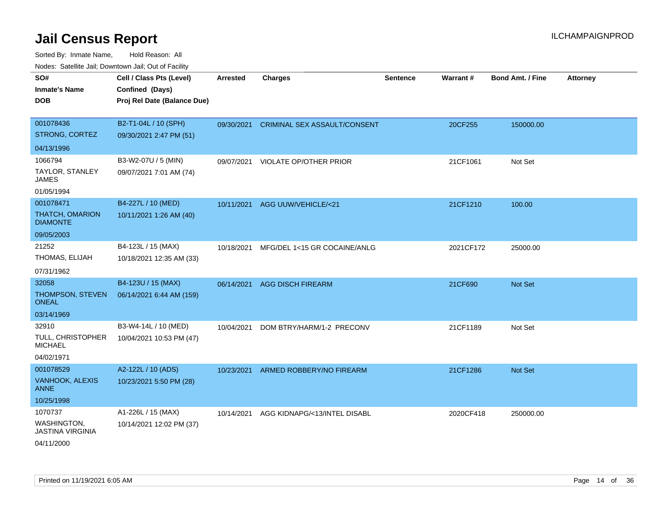Sorted By: Inmate Name, Hold Reason: All

| Nodes: Satellite Jail; Downtown Jail; Out of Facility |                             |                 |                                   |                 |           |                         |                 |
|-------------------------------------------------------|-----------------------------|-----------------|-----------------------------------|-----------------|-----------|-------------------------|-----------------|
| SO#                                                   | Cell / Class Pts (Level)    | <b>Arrested</b> | <b>Charges</b>                    | <b>Sentence</b> | Warrant#  | <b>Bond Amt. / Fine</b> | <b>Attorney</b> |
| <b>Inmate's Name</b>                                  | Confined (Days)             |                 |                                   |                 |           |                         |                 |
| <b>DOB</b>                                            | Proj Rel Date (Balance Due) |                 |                                   |                 |           |                         |                 |
|                                                       |                             |                 |                                   |                 |           |                         |                 |
| 001078436                                             | B2-T1-04L / 10 (SPH)        | 09/30/2021      | CRIMINAL SEX ASSAULT/CONSENT      |                 | 20CF255   | 150000.00               |                 |
| STRONG, CORTEZ                                        | 09/30/2021 2:47 PM (51)     |                 |                                   |                 |           |                         |                 |
| 04/13/1996                                            |                             |                 |                                   |                 |           |                         |                 |
| 1066794                                               | B3-W2-07U / 5 (MIN)         |                 | 09/07/2021 VIOLATE OP/OTHER PRIOR |                 | 21CF1061  | Not Set                 |                 |
| TAYLOR, STANLEY<br><b>JAMES</b>                       | 09/07/2021 7:01 AM (74)     |                 |                                   |                 |           |                         |                 |
| 01/05/1994                                            |                             |                 |                                   |                 |           |                         |                 |
| 001078471                                             | B4-227L / 10 (MED)          | 10/11/2021      | AGG UUW/VEHICLE/<21               |                 | 21CF1210  | 100.00                  |                 |
| <b>THATCH, OMARION</b><br><b>DIAMONTE</b>             | 10/11/2021 1:26 AM (40)     |                 |                                   |                 |           |                         |                 |
| 09/05/2003                                            |                             |                 |                                   |                 |           |                         |                 |
| 21252                                                 | B4-123L / 15 (MAX)          | 10/18/2021      | MFG/DEL 1<15 GR COCAINE/ANLG      |                 | 2021CF172 | 25000.00                |                 |
| THOMAS, ELIJAH                                        | 10/18/2021 12:35 AM (33)    |                 |                                   |                 |           |                         |                 |
| 07/31/1962                                            |                             |                 |                                   |                 |           |                         |                 |
| 32058                                                 | B4-123U / 15 (MAX)          | 06/14/2021      | <b>AGG DISCH FIREARM</b>          |                 | 21CF690   | Not Set                 |                 |
| THOMPSON, STEVEN<br><b>ONEAL</b>                      | 06/14/2021 6:44 AM (159)    |                 |                                   |                 |           |                         |                 |
| 03/14/1969                                            |                             |                 |                                   |                 |           |                         |                 |
| 32910                                                 | B3-W4-14L / 10 (MED)        | 10/04/2021      | DOM BTRY/HARM/1-2 PRECONV         |                 | 21CF1189  | Not Set                 |                 |
| <b>TULL, CHRISTOPHER</b><br><b>MICHAEL</b>            | 10/04/2021 10:53 PM (47)    |                 |                                   |                 |           |                         |                 |
| 04/02/1971                                            |                             |                 |                                   |                 |           |                         |                 |
| 001078529                                             | A2-122L / 10 (ADS)          | 10/23/2021      | ARMED ROBBERY/NO FIREARM          |                 | 21CF1286  | Not Set                 |                 |
| VANHOOK, ALEXIS<br><b>ANNE</b>                        | 10/23/2021 5:50 PM (28)     |                 |                                   |                 |           |                         |                 |
| 10/25/1998                                            |                             |                 |                                   |                 |           |                         |                 |
| 1070737                                               | A1-226L / 15 (MAX)          | 10/14/2021      | AGG KIDNAPG/<13/INTEL DISABL      |                 | 2020CF418 | 250000.00               |                 |
| WASHINGTON,<br><b>JASTINA VIRGINIA</b>                | 10/14/2021 12:02 PM (37)    |                 |                                   |                 |           |                         |                 |
| 04/11/2000                                            |                             |                 |                                   |                 |           |                         |                 |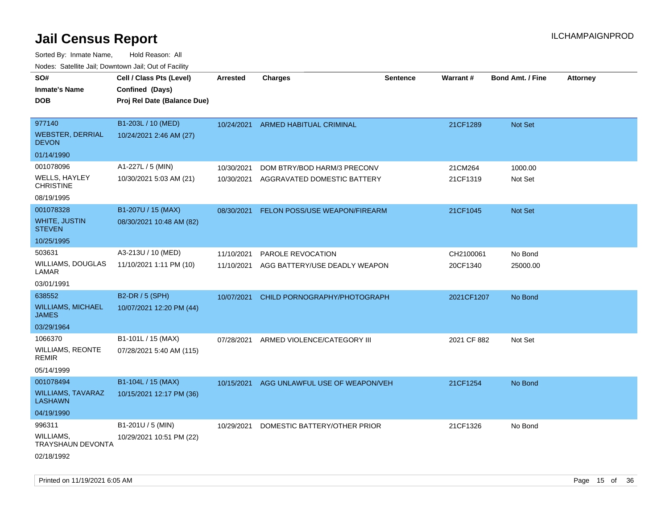| ivuutos. Saltiilit Jali, Duwilluwii Jali, Oul of Facility |                             |                 |                                      |                 |             |                         |                 |
|-----------------------------------------------------------|-----------------------------|-----------------|--------------------------------------|-----------------|-------------|-------------------------|-----------------|
| SO#                                                       | Cell / Class Pts (Level)    | <b>Arrested</b> | <b>Charges</b>                       | <b>Sentence</b> | Warrant#    | <b>Bond Amt. / Fine</b> | <b>Attorney</b> |
| <b>Inmate's Name</b>                                      | Confined (Days)             |                 |                                      |                 |             |                         |                 |
| <b>DOB</b>                                                | Proj Rel Date (Balance Due) |                 |                                      |                 |             |                         |                 |
|                                                           |                             |                 |                                      |                 |             |                         |                 |
| 977140                                                    | B1-203L / 10 (MED)          | 10/24/2021      | ARMED HABITUAL CRIMINAL              |                 | 21CF1289    | Not Set                 |                 |
| <b>WEBSTER, DERRIAL</b><br><b>DEVON</b>                   | 10/24/2021 2:46 AM (27)     |                 |                                      |                 |             |                         |                 |
| 01/14/1990                                                |                             |                 |                                      |                 |             |                         |                 |
| 001078096                                                 | A1-227L / 5 (MIN)           | 10/30/2021      | DOM BTRY/BOD HARM/3 PRECONV          |                 | 21CM264     | 1000.00                 |                 |
| <b>WELLS, HAYLEY</b><br><b>CHRISTINE</b>                  | 10/30/2021 5:03 AM (21)     | 10/30/2021      | AGGRAVATED DOMESTIC BATTERY          |                 | 21CF1319    | Not Set                 |                 |
| 08/19/1995                                                |                             |                 |                                      |                 |             |                         |                 |
| 001078328                                                 | B1-207U / 15 (MAX)          | 08/30/2021      | <b>FELON POSS/USE WEAPON/FIREARM</b> |                 | 21CF1045    | Not Set                 |                 |
| WHITE, JUSTIN<br><b>STEVEN</b>                            | 08/30/2021 10:48 AM (82)    |                 |                                      |                 |             |                         |                 |
| 10/25/1995                                                |                             |                 |                                      |                 |             |                         |                 |
| 503631                                                    | A3-213U / 10 (MED)          | 11/10/2021      | PAROLE REVOCATION                    |                 | CH2100061   | No Bond                 |                 |
| WILLIAMS, DOUGLAS<br>LAMAR                                | 11/10/2021 1:11 PM (10)     | 11/10/2021      | AGG BATTERY/USE DEADLY WEAPON        |                 | 20CF1340    | 25000.00                |                 |
| 03/01/1991                                                |                             |                 |                                      |                 |             |                         |                 |
| 638552                                                    | B2-DR / 5 (SPH)             | 10/07/2021      | CHILD PORNOGRAPHY/PHOTOGRAPH         |                 | 2021CF1207  | No Bond                 |                 |
| <b>WILLIAMS, MICHAEL</b><br><b>JAMES</b>                  | 10/07/2021 12:20 PM (44)    |                 |                                      |                 |             |                         |                 |
| 03/29/1964                                                |                             |                 |                                      |                 |             |                         |                 |
| 1066370                                                   | B1-101L / 15 (MAX)          | 07/28/2021      | ARMED VIOLENCE/CATEGORY III          |                 | 2021 CF 882 | Not Set                 |                 |
| <b>WILLIAMS, REONTE</b><br>remir                          | 07/28/2021 5:40 AM (115)    |                 |                                      |                 |             |                         |                 |
| 05/14/1999                                                |                             |                 |                                      |                 |             |                         |                 |
| 001078494                                                 | B1-104L / 15 (MAX)          | 10/15/2021      | AGG UNLAWFUL USE OF WEAPON/VEH       |                 | 21CF1254    | No Bond                 |                 |
| <b>WILLIAMS, TAVARAZ</b><br><b>LASHAWN</b>                | 10/15/2021 12:17 PM (36)    |                 |                                      |                 |             |                         |                 |
| 04/19/1990                                                |                             |                 |                                      |                 |             |                         |                 |
| 996311                                                    | B1-201U / 5 (MIN)           | 10/29/2021      | DOMESTIC BATTERY/OTHER PRIOR         |                 | 21CF1326    | No Bond                 |                 |
| WILLIAMS,<br>TRAYSHAUN DEVONTA                            | 10/29/2021 10:51 PM (22)    |                 |                                      |                 |             |                         |                 |
| 02/18/1992                                                |                             |                 |                                      |                 |             |                         |                 |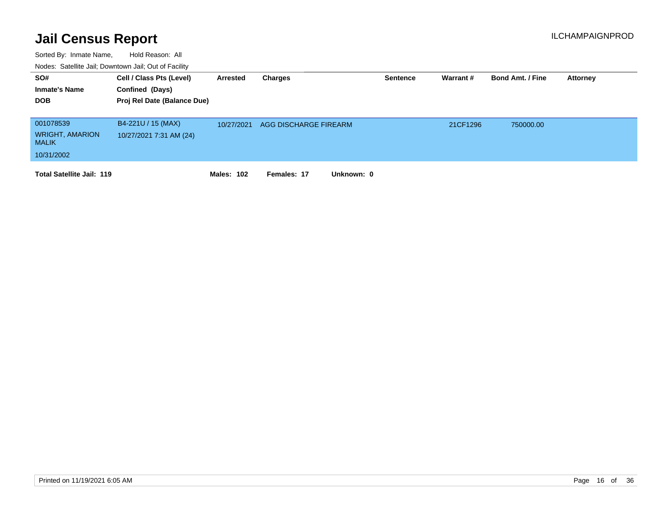| SO#<br><b>Inmate's Name</b><br><b>DOB</b>                         | Cell / Class Pts (Level)<br>Confined (Days)<br>Proj Rel Date (Balance Due) | Arrested          | Charges                   | <b>Sentence</b> | Warrant# | <b>Bond Amt. / Fine</b> | <b>Attorney</b> |
|-------------------------------------------------------------------|----------------------------------------------------------------------------|-------------------|---------------------------|-----------------|----------|-------------------------|-----------------|
| 001078539<br><b>WRIGHT, AMARION</b><br><b>MALIK</b><br>10/31/2002 | B4-221U / 15 (MAX)<br>10/27/2021 7:31 AM (24)                              | 10/27/2021        | AGG DISCHARGE FIREARM     |                 | 21CF1296 | 750000.00               |                 |
| <b>Total Satellite Jail: 119</b>                                  |                                                                            | <b>Males: 102</b> | Females: 17<br>Unknown: 0 |                 |          |                         |                 |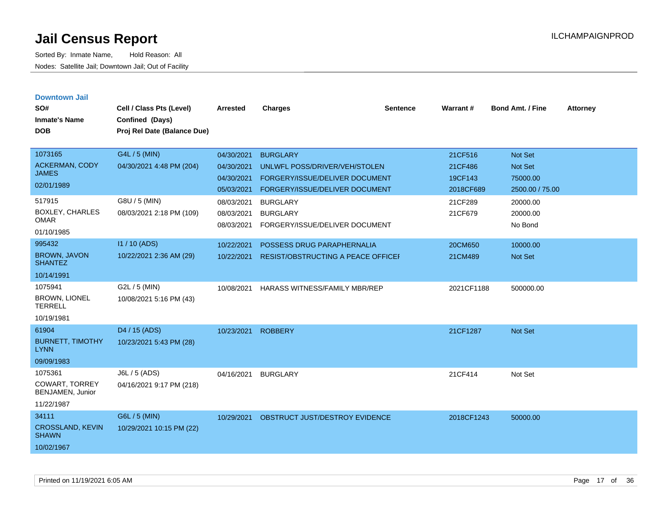| <b>Downtown Jail</b><br>SO#<br><b>Inmate's Name</b>                | Cell / Class Pts (Level)<br>Confined (Days) | <b>Arrested</b>                                      | <b>Charges</b>                                                                                                       | <b>Sentence</b> | <b>Warrant#</b>                            | <b>Bond Amt. / Fine</b>                           | <b>Attorney</b> |
|--------------------------------------------------------------------|---------------------------------------------|------------------------------------------------------|----------------------------------------------------------------------------------------------------------------------|-----------------|--------------------------------------------|---------------------------------------------------|-----------------|
| <b>DOB</b>                                                         | Proj Rel Date (Balance Due)                 |                                                      |                                                                                                                      |                 |                                            |                                                   |                 |
| 1073165<br>ACKERMAN, CODY<br><b>JAMES</b><br>02/01/1989            | G4L / 5 (MIN)<br>04/30/2021 4:48 PM (204)   | 04/30/2021<br>04/30/2021<br>04/30/2021<br>05/03/2021 | <b>BURGLARY</b><br>UNLWFL POSS/DRIVER/VEH/STOLEN<br>FORGERY/ISSUE/DELIVER DOCUMENT<br>FORGERY/ISSUE/DELIVER DOCUMENT |                 | 21CF516<br>21CF486<br>19CF143<br>2018CF689 | Not Set<br>Not Set<br>75000.00<br>2500.00 / 75.00 |                 |
| 517915<br><b>BOXLEY, CHARLES</b><br><b>OMAR</b><br>01/10/1985      | G8U / 5 (MIN)<br>08/03/2021 2:18 PM (109)   | 08/03/2021<br>08/03/2021<br>08/03/2021               | <b>BURGLARY</b><br><b>BURGLARY</b><br>FORGERY/ISSUE/DELIVER DOCUMENT                                                 |                 | 21CF289<br>21CF679                         | 20000.00<br>20000.00<br>No Bond                   |                 |
| 995432<br><b>BROWN, JAVON</b><br><b>SHANTEZ</b><br>10/14/1991      | $11/10$ (ADS)<br>10/22/2021 2:36 AM (29)    | 10/22/2021<br>10/22/2021                             | POSSESS DRUG PARAPHERNALIA<br><b>RESIST/OBSTRUCTING A PEACE OFFICEF</b>                                              |                 | 20CM650<br>21CM489                         | 10000.00<br><b>Not Set</b>                        |                 |
| 1075941<br><b>BROWN, LIONEL</b><br><b>TERRELL</b><br>10/19/1981    | G2L / 5 (MIN)<br>10/08/2021 5:16 PM (43)    | 10/08/2021                                           | HARASS WITNESS/FAMILY MBR/REP                                                                                        |                 | 2021CF1188                                 | 500000.00                                         |                 |
| 61904<br><b>BURNETT, TIMOTHY</b><br><b>LYNN</b><br>09/09/1983      | D4 / 15 (ADS)<br>10/23/2021 5:43 PM (28)    | 10/23/2021                                           | <b>ROBBERY</b>                                                                                                       |                 | 21CF1287                                   | <b>Not Set</b>                                    |                 |
| 1075361<br><b>COWART, TORREY</b><br>BENJAMEN, Junior<br>11/22/1987 | J6L / 5 (ADS)<br>04/16/2021 9:17 PM (218)   | 04/16/2021                                           | <b>BURGLARY</b>                                                                                                      |                 | 21CF414                                    | Not Set                                           |                 |
| 34111<br><b>CROSSLAND, KEVIN</b><br><b>SHAWN</b><br>10/02/1967     | G6L / 5 (MIN)<br>10/29/2021 10:15 PM (22)   | 10/29/2021                                           | OBSTRUCT JUST/DESTROY EVIDENCE                                                                                       |                 | 2018CF1243                                 | 50000.00                                          |                 |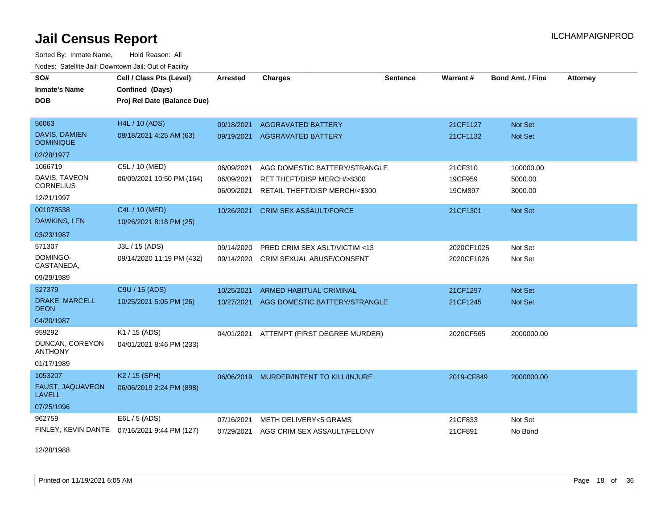Sorted By: Inmate Name, Hold Reason: All Nodes: Satellite Jail; Downtown Jail; Out of Facility

| SO#<br><b>Inmate's Name</b><br>DOB                         | Cell / Class Pts (Level)<br>Confined (Days)<br>Proj Rel Date (Balance Due) | <b>Arrested</b>                        | <b>Charges</b>                                                                                 | <b>Sentence</b> | Warrant#                      | Bond Amt. / Fine                | <b>Attorney</b> |
|------------------------------------------------------------|----------------------------------------------------------------------------|----------------------------------------|------------------------------------------------------------------------------------------------|-----------------|-------------------------------|---------------------------------|-----------------|
| 56063<br>DAVIS, DAMIEN<br><b>DOMINIQUE</b><br>02/28/1977   | <b>H4L / 10 (ADS)</b><br>09/18/2021 4:25 AM (63)                           | 09/18/2021<br>09/19/2021               | <b>AGGRAVATED BATTERY</b><br><b>AGGRAVATED BATTERY</b>                                         |                 | 21CF1127<br>21CF1132          | <b>Not Set</b><br>Not Set       |                 |
| 1066719<br>DAVIS, TAVEON<br><b>CORNELIUS</b><br>12/21/1997 | C5L / 10 (MED)<br>06/09/2021 10:50 PM (164)                                | 06/09/2021<br>06/09/2021<br>06/09/2021 | AGG DOMESTIC BATTERY/STRANGLE<br>RET THEFT/DISP MERCH/>\$300<br>RETAIL THEFT/DISP MERCH/<\$300 |                 | 21CF310<br>19CF959<br>19CM897 | 100000.00<br>5000.00<br>3000.00 |                 |
| 001078538<br>DAWKINS, LEN<br>03/23/1987                    | C4L / 10 (MED)<br>10/26/2021 8:18 PM (25)                                  | 10/26/2021                             | <b>CRIM SEX ASSAULT/FORCE</b>                                                                  |                 | 21CF1301                      | <b>Not Set</b>                  |                 |
| 571307<br>DOMINGO-<br>CASTANEDA,<br>09/29/1989             | J3L / 15 (ADS)<br>09/14/2020 11:19 PM (432)                                | 09/14/2020<br>09/14/2020               | PRED CRIM SEX ASLT/VICTIM <13<br>CRIM SEXUAL ABUSE/CONSENT                                     |                 | 2020CF1025<br>2020CF1026      | Not Set<br>Not Set              |                 |
| 527379<br>DRAKE, MARCELL<br>DEON<br>04/20/1987             | C9U / 15 (ADS)<br>10/25/2021 5:05 PM (26)                                  | 10/25/2021<br>10/27/2021               | ARMED HABITUAL CRIMINAL<br>AGG DOMESTIC BATTERY/STRANGLE                                       |                 | 21CF1297<br>21CF1245          | <b>Not Set</b><br>Not Set       |                 |
| 959292<br>DUNCAN, COREYON<br><b>ANTHONY</b><br>01/17/1989  | K1 / 15 (ADS)<br>04/01/2021 8:46 PM (233)                                  | 04/01/2021                             | ATTEMPT (FIRST DEGREE MURDER)                                                                  |                 | 2020CF565                     | 2000000.00                      |                 |
| 1053207<br>FAUST, JAQUAVEON<br><b>LAVELL</b><br>07/25/1996 | K2 / 15 (SPH)<br>06/06/2019 2:24 PM (898)                                  | 06/06/2019                             | MURDER/INTENT TO KILL/INJURE                                                                   |                 | 2019-CF849                    | 2000000.00                      |                 |
| 962759                                                     | E6L / 5 (ADS)<br>FINLEY, KEVIN DANTE 07/16/2021 9:44 PM (127)              | 07/16/2021<br>07/29/2021               | <b>METH DELIVERY&lt;5 GRAMS</b><br>AGG CRIM SEX ASSAULT/FELONY                                 |                 | 21CF833<br>21CF891            | Not Set<br>No Bond              |                 |

12/28/1988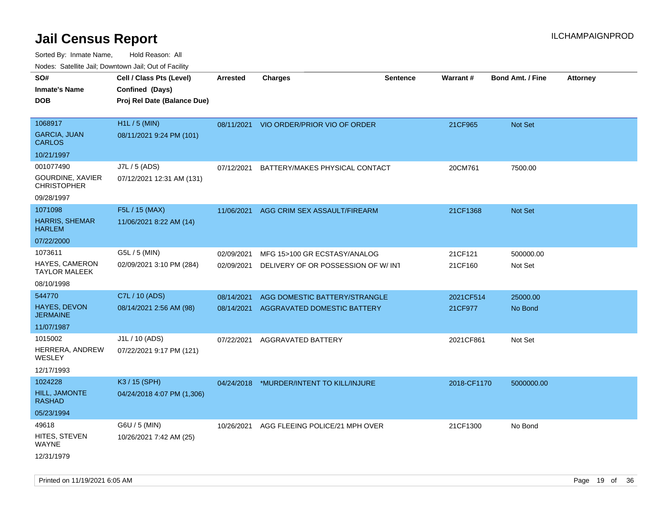Sorted By: Inmate Name, Hold Reason: All Nodes: Satellite Jail; Downtown Jail; Out of Facility

| rouco. Calcillo Jali, Downtown Jali, Out of Facility |                             |                 |                                         |                 |             |                         |                 |
|------------------------------------------------------|-----------------------------|-----------------|-----------------------------------------|-----------------|-------------|-------------------------|-----------------|
| SO#                                                  | Cell / Class Pts (Level)    | <b>Arrested</b> | <b>Charges</b>                          | <b>Sentence</b> | Warrant#    | <b>Bond Amt. / Fine</b> | <b>Attorney</b> |
| <b>Inmate's Name</b>                                 | Confined (Days)             |                 |                                         |                 |             |                         |                 |
| DOB                                                  | Proj Rel Date (Balance Due) |                 |                                         |                 |             |                         |                 |
|                                                      |                             |                 |                                         |                 |             |                         |                 |
| 1068917                                              | H1L / 5 (MIN)               |                 | 08/11/2021 VIO ORDER/PRIOR VIO OF ORDER |                 | 21CF965     | <b>Not Set</b>          |                 |
| <b>GARCIA, JUAN</b><br><b>CARLOS</b>                 | 08/11/2021 9:24 PM (101)    |                 |                                         |                 |             |                         |                 |
| 10/21/1997                                           |                             |                 |                                         |                 |             |                         |                 |
| 001077490                                            | J7L / 5 (ADS)               | 07/12/2021      | BATTERY/MAKES PHYSICAL CONTACT          |                 | 20CM761     | 7500.00                 |                 |
| GOURDINE, XAVIER<br><b>CHRISTOPHER</b>               | 07/12/2021 12:31 AM (131)   |                 |                                         |                 |             |                         |                 |
| 09/28/1997                                           |                             |                 |                                         |                 |             |                         |                 |
| 1071098                                              | F5L / 15 (MAX)              | 11/06/2021      | AGG CRIM SEX ASSAULT/FIREARM            |                 | 21CF1368    | Not Set                 |                 |
| <b>HARRIS, SHEMAR</b><br>HARLEM                      | 11/06/2021 8:22 AM (14)     |                 |                                         |                 |             |                         |                 |
| 07/22/2000                                           |                             |                 |                                         |                 |             |                         |                 |
| 1073611                                              | G5L / 5 (MIN)               | 02/09/2021      | MFG 15>100 GR ECSTASY/ANALOG            |                 | 21CF121     | 500000.00               |                 |
| HAYES, CAMERON<br>TAYLOR MALEEK                      | 02/09/2021 3:10 PM (284)    | 02/09/2021      | DELIVERY OF OR POSSESSION OF W/INT      |                 | 21CF160     | Not Set                 |                 |
| 08/10/1998                                           |                             |                 |                                         |                 |             |                         |                 |
| 544770                                               | C7L / 10 (ADS)              | 08/14/2021      | AGG DOMESTIC BATTERY/STRANGLE           |                 | 2021CF514   | 25000.00                |                 |
| HAYES, DEVON<br>JERMAINE                             | 08/14/2021 2:56 AM (98)     | 08/14/2021      | AGGRAVATED DOMESTIC BATTERY             |                 | 21CF977     | No Bond                 |                 |
| 11/07/1987                                           |                             |                 |                                         |                 |             |                         |                 |
| 1015002                                              | J1L / 10 (ADS)              | 07/22/2021      | AGGRAVATED BATTERY                      |                 | 2021CF861   | Not Set                 |                 |
| HERRERA, ANDREW<br>WESLEY                            | 07/22/2021 9:17 PM (121)    |                 |                                         |                 |             |                         |                 |
| 12/17/1993                                           |                             |                 |                                         |                 |             |                         |                 |
| 1024228                                              | K3 / 15 (SPH)               | 04/24/2018      | *MURDER/INTENT TO KILL/INJURE           |                 | 2018-CF1170 | 5000000.00              |                 |
| HILL, JAMONTE<br>RASHAD                              | 04/24/2018 4:07 PM (1,306)  |                 |                                         |                 |             |                         |                 |
| 05/23/1994                                           |                             |                 |                                         |                 |             |                         |                 |
| 49618                                                | G6U / 5 (MIN)               | 10/26/2021      | AGG FLEEING POLICE/21 MPH OVER          |                 | 21CF1300    | No Bond                 |                 |
| HITES, STEVEN<br>WAYNE                               | 10/26/2021 7:42 AM (25)     |                 |                                         |                 |             |                         |                 |
| 12/31/1979                                           |                             |                 |                                         |                 |             |                         |                 |

Printed on 11/19/2021 6:05 AM **Page 19 of 36** Page 19 of 36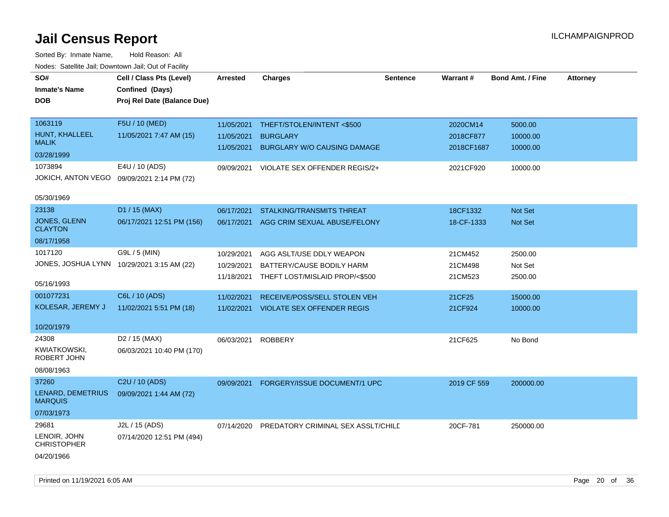| Noues. Salemie Jan, Downtown Jan, Out of Facility |                                            |            |                                    |                 |                 |                         |                 |
|---------------------------------------------------|--------------------------------------------|------------|------------------------------------|-----------------|-----------------|-------------------------|-----------------|
| SO#                                               | Cell / Class Pts (Level)                   | Arrested   | <b>Charges</b>                     | <b>Sentence</b> | <b>Warrant#</b> | <b>Bond Amt. / Fine</b> | <b>Attorney</b> |
| <b>Inmate's Name</b>                              | Confined (Days)                            |            |                                    |                 |                 |                         |                 |
| <b>DOB</b>                                        | Proj Rel Date (Balance Due)                |            |                                    |                 |                 |                         |                 |
|                                                   |                                            |            |                                    |                 |                 |                         |                 |
| 1063119                                           | F5U / 10 (MED)                             | 11/05/2021 | THEFT/STOLEN/INTENT <\$500         |                 | 2020CM14        | 5000.00                 |                 |
| <b>HUNT, KHALLEEL</b>                             | 11/05/2021 7:47 AM (15)                    | 11/05/2021 | <b>BURGLARY</b>                    |                 | 2018CF877       | 10000.00                |                 |
| <b>MALIK</b>                                      |                                            | 11/05/2021 | <b>BURGLARY W/O CAUSING DAMAGE</b> |                 | 2018CF1687      | 10000.00                |                 |
| 03/28/1999                                        |                                            |            |                                    |                 |                 |                         |                 |
| 1073894                                           | E4U / 10 (ADS)                             | 09/09/2021 | VIOLATE SEX OFFENDER REGIS/2+      |                 | 2021CF920       | 10000.00                |                 |
| JOKICH, ANTON VEGO                                | 09/09/2021 2:14 PM (72)                    |            |                                    |                 |                 |                         |                 |
|                                                   |                                            |            |                                    |                 |                 |                         |                 |
| 05/30/1969                                        |                                            |            |                                    |                 |                 |                         |                 |
| 23138                                             | D1 / 15 (MAX)                              | 06/17/2021 | <b>STALKING/TRANSMITS THREAT</b>   |                 | 18CF1332        | Not Set                 |                 |
| JONES, GLENN<br><b>CLAYTON</b>                    | 06/17/2021 12:51 PM (156)                  | 06/17/2021 | AGG CRIM SEXUAL ABUSE/FELONY       |                 | 18-CF-1333      | Not Set                 |                 |
| 08/17/1958                                        |                                            |            |                                    |                 |                 |                         |                 |
| 1017120                                           | G9L / 5 (MIN)                              | 10/29/2021 | AGG ASLT/USE DDLY WEAPON           |                 | 21CM452         | 2500.00                 |                 |
|                                                   | JONES, JOSHUA LYNN 10/29/2021 3:15 AM (22) | 10/29/2021 | BATTERY/CAUSE BODILY HARM          |                 | 21CM498         | Not Set                 |                 |
|                                                   |                                            | 11/18/2021 | THEFT LOST/MISLAID PROP/<\$500     |                 | 21CM523         | 2500.00                 |                 |
| 05/16/1993                                        |                                            |            |                                    |                 |                 |                         |                 |
| 001077231                                         | C6L / 10 (ADS)                             | 11/02/2021 | RECEIVE/POSS/SELL STOLEN VEH       |                 | 21CF25          | 15000.00                |                 |
| KOLESAR, JEREMY J                                 | 11/02/2021 5:51 PM (18)                    | 11/02/2021 | <b>VIOLATE SEX OFFENDER REGIS</b>  |                 | 21CF924         | 10000.00                |                 |
|                                                   |                                            |            |                                    |                 |                 |                         |                 |
| 10/20/1979                                        |                                            |            |                                    |                 |                 |                         |                 |
| 24308                                             | D <sub>2</sub> / 15 (MAX)                  | 06/03/2021 | <b>ROBBERY</b>                     |                 | 21CF625         | No Bond                 |                 |
| KWIATKOWSKI,<br>ROBERT JOHN                       | 06/03/2021 10:40 PM (170)                  |            |                                    |                 |                 |                         |                 |
| 08/08/1963                                        |                                            |            |                                    |                 |                 |                         |                 |
| 37260                                             | C2U / 10 (ADS)                             | 09/09/2021 | FORGERY/ISSUE DOCUMENT/1 UPC       |                 | 2019 CF 559     | 200000.00               |                 |
| LENARD, DEMETRIUS                                 | 09/09/2021 1:44 AM (72)                    |            |                                    |                 |                 |                         |                 |
| <b>MARQUIS</b>                                    |                                            |            |                                    |                 |                 |                         |                 |
| 07/03/1973                                        |                                            |            |                                    |                 |                 |                         |                 |
| 29681                                             | J2L / 15 (ADS)                             | 07/14/2020 | PREDATORY CRIMINAL SEX ASSLT/CHILE |                 | 20CF-781        | 250000.00               |                 |
| LENOIR, JOHN<br><b>CHRISTOPHER</b>                | 07/14/2020 12:51 PM (494)                  |            |                                    |                 |                 |                         |                 |
| 04/20/1966                                        |                                            |            |                                    |                 |                 |                         |                 |
|                                                   |                                            |            |                                    |                 |                 |                         |                 |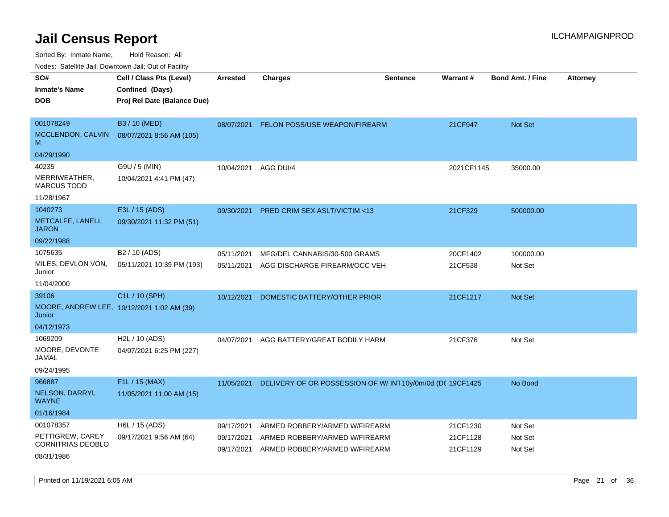Sorted By: Inmate Name, Hold Reason: All

Nodes: Satellite Jail; Downtown Jail; Out of Facility

| SO#                                                  | Cell / Class Pts (Level)    | <b>Arrested</b> | <b>Charges</b>                                             | <b>Sentence</b> | Warrant#   | <b>Bond Amt. / Fine</b> | <b>Attorney</b> |
|------------------------------------------------------|-----------------------------|-----------------|------------------------------------------------------------|-----------------|------------|-------------------------|-----------------|
| <b>Inmate's Name</b>                                 | Confined (Days)             |                 |                                                            |                 |            |                         |                 |
| <b>DOB</b>                                           | Proj Rel Date (Balance Due) |                 |                                                            |                 |            |                         |                 |
|                                                      |                             |                 |                                                            |                 |            |                         |                 |
| 001078249                                            | B3 / 10 (MED)               | 08/07/2021      | FELON POSS/USE WEAPON/FIREARM                              |                 | 21CF947    | Not Set                 |                 |
| MCCLENDON, CALVIN<br>M                               | 08/07/2021 8:56 AM (105)    |                 |                                                            |                 |            |                         |                 |
| 04/29/1990                                           |                             |                 |                                                            |                 |            |                         |                 |
| 40235                                                | G9U / 5 (MIN)               | 10/04/2021      | AGG DUI/4                                                  |                 | 2021CF1145 | 35000.00                |                 |
| MERRIWEATHER,<br><b>MARCUS TODD</b>                  | 10/04/2021 4:41 PM (47)     |                 |                                                            |                 |            |                         |                 |
| 11/28/1967                                           |                             |                 |                                                            |                 |            |                         |                 |
| 1040273                                              | E3L / 15 (ADS)              | 09/30/2021      | PRED CRIM SEX ASLT/VICTIM <13                              |                 | 21CF329    | 500000.00               |                 |
| METCALFE, LANELL<br><b>JARON</b>                     | 09/30/2021 11:32 PM (51)    |                 |                                                            |                 |            |                         |                 |
| 09/22/1988                                           |                             |                 |                                                            |                 |            |                         |                 |
| 1075635                                              | B2 / 10 (ADS)               | 05/11/2021      | MFG/DEL CANNABIS/30-500 GRAMS                              |                 | 20CF1402   | 100000.00               |                 |
| MILES, DEVLON VON,<br>Junior                         | 05/11/2021 10:39 PM (193)   | 05/11/2021      | AGG DISCHARGE FIREARM/OCC VEH                              |                 | 21CF538    | Not Set                 |                 |
| 11/04/2000                                           |                             |                 |                                                            |                 |            |                         |                 |
| 39106                                                | C1L / 10 (SPH)              | 10/12/2021      | DOMESTIC BATTERY/OTHER PRIOR                               |                 | 21CF1217   | Not Set                 |                 |
| MOORE, ANDREW LEE, 10/12/2021 1:02 AM (39)<br>Junior |                             |                 |                                                            |                 |            |                         |                 |
| 04/12/1973                                           |                             |                 |                                                            |                 |            |                         |                 |
| 1069209                                              | H2L / 10 (ADS)              | 04/07/2021      | AGG BATTERY/GREAT BODILY HARM                              |                 | 21CF376    | Not Set                 |                 |
| MOORE, DEVONTE<br>JAMAL                              | 04/07/2021 6:25 PM (227)    |                 |                                                            |                 |            |                         |                 |
| 09/24/1995                                           |                             |                 |                                                            |                 |            |                         |                 |
| 966887                                               | F1L / 15 (MAX)              | 11/05/2021      | DELIVERY OF OR POSSESSION OF W/ IN1 10y/0m/0d (DC 19CF1425 |                 |            | No Bond                 |                 |
| NELSON, DARRYL<br><b>WAYNE</b>                       | 11/05/2021 11:00 AM (15)    |                 |                                                            |                 |            |                         |                 |
| 01/16/1984                                           |                             |                 |                                                            |                 |            |                         |                 |
| 001078357                                            | H6L / 15 (ADS)              | 09/17/2021      | ARMED ROBBERY/ARMED W/FIREARM                              |                 | 21CF1230   | Not Set                 |                 |
| PETTIGREW, CAREY<br>CORNITRIAS DEOBLO                | 09/17/2021 9:56 AM (64)     | 09/17/2021      | ARMED ROBBERY/ARMED W/FIREARM                              |                 | 21CF1128   | Not Set                 |                 |
| 08/31/1986                                           |                             | 09/17/2021      | ARMED ROBBERY/ARMED W/FIREARM                              |                 | 21CF1129   | Not Set                 |                 |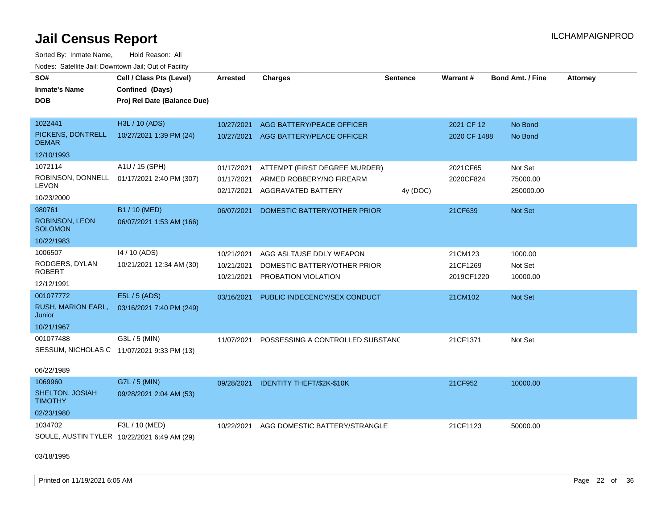| rougs. Calcinic Jan, Downtown Jan, Out of Facility |                                             |                          |                                                     |                 |                        |                         |                 |
|----------------------------------------------------|---------------------------------------------|--------------------------|-----------------------------------------------------|-----------------|------------------------|-------------------------|-----------------|
| SO#                                                | Cell / Class Pts (Level)                    | <b>Arrested</b>          | <b>Charges</b>                                      | <b>Sentence</b> | Warrant#               | <b>Bond Amt. / Fine</b> | <b>Attorney</b> |
| <b>Inmate's Name</b>                               | Confined (Days)                             |                          |                                                     |                 |                        |                         |                 |
| <b>DOB</b>                                         | Proj Rel Date (Balance Due)                 |                          |                                                     |                 |                        |                         |                 |
|                                                    |                                             |                          |                                                     |                 |                        |                         |                 |
| 1022441                                            | H3L / 10 (ADS)                              | 10/27/2021               | AGG BATTERY/PEACE OFFICER                           |                 | 2021 CF 12             | No Bond                 |                 |
| PICKENS, DONTRELL<br><b>DEMAR</b>                  | 10/27/2021 1:39 PM (24)                     |                          | 10/27/2021 AGG BATTERY/PEACE OFFICER                |                 | 2020 CF 1488           | No Bond                 |                 |
| 12/10/1993                                         |                                             |                          |                                                     |                 |                        |                         |                 |
| 1072114                                            | A1U / 15 (SPH)                              | 01/17/2021               | ATTEMPT (FIRST DEGREE MURDER)                       |                 | 2021CF65               | Not Set                 |                 |
| ROBINSON, DONNELL                                  | 01/17/2021 2:40 PM (307)                    | 01/17/2021               | ARMED ROBBERY/NO FIREARM                            |                 | 2020CF824              | 75000.00                |                 |
| <b>LEVON</b>                                       |                                             | 02/17/2021               | AGGRAVATED BATTERY                                  | 4y (DOC)        |                        | 250000.00               |                 |
| 10/23/2000                                         |                                             |                          |                                                     |                 |                        |                         |                 |
| 980761                                             | B1 / 10 (MED)                               | 06/07/2021               | DOMESTIC BATTERY/OTHER PRIOR                        |                 | 21CF639                | Not Set                 |                 |
| <b>ROBINSON, LEON</b><br><b>SOLOMON</b>            | 06/07/2021 1:53 AM (166)                    |                          |                                                     |                 |                        |                         |                 |
| 10/22/1983                                         |                                             |                          |                                                     |                 |                        |                         |                 |
| 1006507                                            | 14 / 10 (ADS)                               | 10/21/2021               | AGG ASLT/USE DDLY WEAPON                            |                 | 21CM123                | 1000.00                 |                 |
| RODGERS, DYLAN<br><b>ROBERT</b>                    | 10/21/2021 12:34 AM (30)                    | 10/21/2021<br>10/21/2021 | DOMESTIC BATTERY/OTHER PRIOR<br>PROBATION VIOLATION |                 | 21CF1269<br>2019CF1220 | Not Set<br>10000.00     |                 |
| 12/12/1991                                         |                                             |                          |                                                     |                 |                        |                         |                 |
| 001077772                                          | E5L / 5 (ADS)                               | 03/16/2021               | PUBLIC INDECENCY/SEX CONDUCT                        |                 | 21CM102                | Not Set                 |                 |
| <b>RUSH, MARION EARL,</b><br>Junior                | 03/16/2021 7:40 PM (249)                    |                          |                                                     |                 |                        |                         |                 |
| 10/21/1967                                         |                                             |                          |                                                     |                 |                        |                         |                 |
| 001077488                                          | G3L / 5 (MIN)                               | 11/07/2021               | POSSESSING A CONTROLLED SUBSTAND                    |                 | 21CF1371               | Not Set                 |                 |
|                                                    | SESSUM, NICHOLAS C 11/07/2021 9:33 PM (13)  |                          |                                                     |                 |                        |                         |                 |
| 06/22/1989                                         |                                             |                          |                                                     |                 |                        |                         |                 |
| 1069960                                            | G7L / 5 (MIN)                               |                          | 09/28/2021 IDENTITY THEFT/\$2K-\$10K                |                 | 21CF952                | 10000.00                |                 |
| SHELTON, JOSIAH<br><b>TIMOTHY</b>                  | 09/28/2021 2:04 AM (53)                     |                          |                                                     |                 |                        |                         |                 |
| 02/23/1980                                         |                                             |                          |                                                     |                 |                        |                         |                 |
| 1034702                                            | F3L / 10 (MED)                              | 10/22/2021               | AGG DOMESTIC BATTERY/STRANGLE                       |                 | 21CF1123               | 50000.00                |                 |
|                                                    | SOULE, AUSTIN TYLER 10/22/2021 6:49 AM (29) |                          |                                                     |                 |                        |                         |                 |
| 03/18/1995                                         |                                             |                          |                                                     |                 |                        |                         |                 |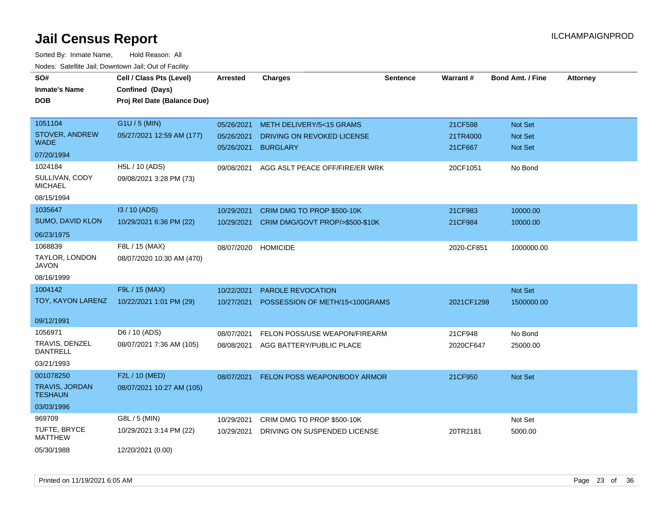| SO#<br>Inmate's Name<br><b>DOB</b>      | Cell / Class Pts (Level)<br>Confined (Days)<br>Proj Rel Date (Balance Due) | <b>Arrested</b> | <b>Charges</b>                     | <b>Sentence</b> | Warrant#   | <b>Bond Amt. / Fine</b> | <b>Attorney</b> |
|-----------------------------------------|----------------------------------------------------------------------------|-----------------|------------------------------------|-----------------|------------|-------------------------|-----------------|
| 1051104                                 | G1U / 5 (MIN)                                                              | 05/26/2021      | <b>METH DELIVERY/5&lt;15 GRAMS</b> |                 | 21CF598    | Not Set                 |                 |
| STOVER, ANDREW                          | 05/27/2021 12:59 AM (177)                                                  | 05/26/2021      | DRIVING ON REVOKED LICENSE         |                 | 21TR4000   | <b>Not Set</b>          |                 |
| <b>WADE</b>                             |                                                                            | 05/26/2021      | <b>BURGLARY</b>                    |                 | 21CF667    | Not Set                 |                 |
| 07/20/1994                              |                                                                            |                 |                                    |                 |            |                         |                 |
| 1024184                                 | H5L / 10 (ADS)                                                             | 09/08/2021      | AGG ASLT PEACE OFF/FIRE/ER WRK     |                 | 20CF1051   | No Bond                 |                 |
| SULLIVAN, CODY<br><b>MICHAEL</b>        | 09/08/2021 3:28 PM (73)                                                    |                 |                                    |                 |            |                         |                 |
| 08/15/1994                              |                                                                            |                 |                                    |                 |            |                         |                 |
| 1035647                                 | I3 / 10 (ADS)                                                              | 10/29/2021      | CRIM DMG TO PROP \$500-10K         |                 | 21CF983    | 10000.00                |                 |
| SUMO, DAVID KLON                        | 10/29/2021 6:36 PM (22)                                                    | 10/29/2021      | CRIM DMG/GOVT PROP/>\$500-\$10K    |                 | 21CF984    | 10000.00                |                 |
| 06/23/1975                              |                                                                            |                 |                                    |                 |            |                         |                 |
| 1068839                                 | F8L / 15 (MAX)                                                             | 08/07/2020      | <b>HOMICIDE</b>                    |                 | 2020-CF851 | 1000000.00              |                 |
| TAYLOR, LONDON<br><b>JAVON</b>          | 08/07/2020 10:30 AM (470)                                                  |                 |                                    |                 |            |                         |                 |
| 08/16/1999                              |                                                                            |                 |                                    |                 |            |                         |                 |
| 1004142                                 | F9L / 15 (MAX)                                                             | 10/22/2021      | <b>PAROLE REVOCATION</b>           |                 |            | Not Set                 |                 |
| TOY, KAYON LARENZ                       | 10/22/2021 1:01 PM (29)                                                    | 10/27/2021      | POSSESSION OF METH/15<100GRAMS     |                 | 2021CF1298 | 1500000.00              |                 |
| 09/12/1991                              |                                                                            |                 |                                    |                 |            |                         |                 |
| 1056971                                 | D6 / 10 (ADS)                                                              | 08/07/2021      | FELON POSS/USE WEAPON/FIREARM      |                 | 21CF948    | No Bond                 |                 |
| TRAVIS, DENZEL<br><b>DANTRELL</b>       | 08/07/2021 7:36 AM (105)                                                   | 08/08/2021      | AGG BATTERY/PUBLIC PLACE           |                 | 2020CF647  | 25000.00                |                 |
| 03/21/1993                              |                                                                            |                 |                                    |                 |            |                         |                 |
| 001078250                               | F2L / 10 (MED)                                                             | 08/07/2021      | FELON POSS WEAPON/BODY ARMOR       |                 | 21CF950    | Not Set                 |                 |
| <b>TRAVIS, JORDAN</b><br><b>TESHAUN</b> | 08/07/2021 10:27 AM (105)                                                  |                 |                                    |                 |            |                         |                 |
| 03/03/1996                              |                                                                            |                 |                                    |                 |            |                         |                 |
| 969709                                  | G8L / 5 (MIN)                                                              | 10/29/2021      | CRIM DMG TO PROP \$500-10K         |                 |            | Not Set                 |                 |
| TUFTE, BRYCE<br><b>MATTHEW</b>          | 10/29/2021 3:14 PM (22)                                                    | 10/29/2021      | DRIVING ON SUSPENDED LICENSE       |                 | 20TR2181   | 5000.00                 |                 |
| 05/30/1988                              | 12/20/2021 (0.00)                                                          |                 |                                    |                 |            |                         |                 |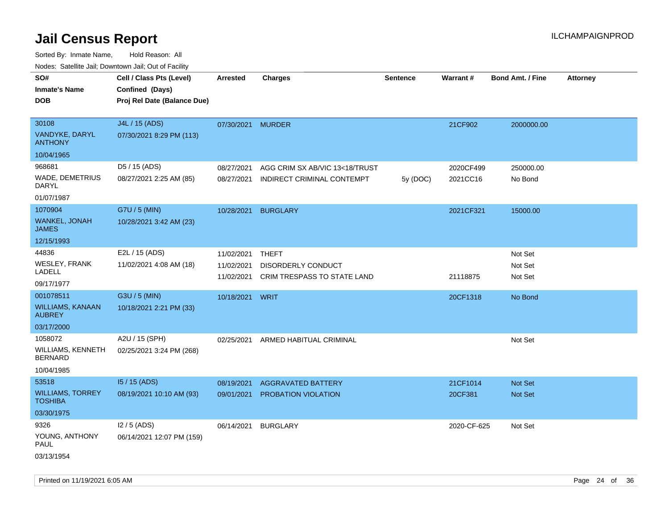| ivuutos. Saltiilit Jall, Duwilluwii Jall, Oul of Facility |                             |                   |                                |                 |             |                         |                 |
|-----------------------------------------------------------|-----------------------------|-------------------|--------------------------------|-----------------|-------------|-------------------------|-----------------|
| SO#                                                       | Cell / Class Pts (Level)    | <b>Arrested</b>   | <b>Charges</b>                 | <b>Sentence</b> | Warrant#    | <b>Bond Amt. / Fine</b> | <b>Attorney</b> |
| <b>Inmate's Name</b>                                      | Confined (Days)             |                   |                                |                 |             |                         |                 |
| <b>DOB</b>                                                | Proj Rel Date (Balance Due) |                   |                                |                 |             |                         |                 |
|                                                           |                             |                   |                                |                 |             |                         |                 |
| 30108                                                     | J4L / 15 (ADS)              | 07/30/2021 MURDER |                                |                 | 21CF902     | 2000000.00              |                 |
| VANDYKE, DARYL<br><b>ANTHONY</b>                          | 07/30/2021 8:29 PM (113)    |                   |                                |                 |             |                         |                 |
| 10/04/1965                                                |                             |                   |                                |                 |             |                         |                 |
| 968681                                                    | D5 / 15 (ADS)               | 08/27/2021        | AGG CRIM SX AB/VIC 13<18/TRUST |                 | 2020CF499   | 250000.00               |                 |
| WADE, DEMETRIUS<br>DARYL                                  | 08/27/2021 2:25 AM (85)     | 08/27/2021        | INDIRECT CRIMINAL CONTEMPT     | 5y (DOC)        | 2021CC16    | No Bond                 |                 |
| 01/07/1987                                                |                             |                   |                                |                 |             |                         |                 |
| 1070904                                                   | G7U / 5 (MIN)               | 10/28/2021        | <b>BURGLARY</b>                |                 | 2021CF321   | 15000.00                |                 |
| <b>WANKEL, JONAH</b><br><b>JAMES</b>                      | 10/28/2021 3:42 AM (23)     |                   |                                |                 |             |                         |                 |
| 12/15/1993                                                |                             |                   |                                |                 |             |                         |                 |
| 44836                                                     | E2L / 15 (ADS)              | 11/02/2021        | <b>THEFT</b>                   |                 |             | Not Set                 |                 |
| <b>WESLEY, FRANK</b>                                      | 11/02/2021 4:08 AM (18)     | 11/02/2021        | DISORDERLY CONDUCT             |                 |             | Not Set                 |                 |
| LADELL                                                    |                             | 11/02/2021        | CRIM TRESPASS TO STATE LAND    |                 | 21118875    | Not Set                 |                 |
| 09/17/1977                                                |                             |                   |                                |                 |             |                         |                 |
| 001078511                                                 | G3U / 5 (MIN)               | 10/18/2021        | WRIT                           |                 | 20CF1318    | No Bond                 |                 |
| <b>WILLIAMS, KANAAN</b><br><b>AUBREY</b>                  | 10/18/2021 2:21 PM (33)     |                   |                                |                 |             |                         |                 |
| 03/17/2000                                                |                             |                   |                                |                 |             |                         |                 |
| 1058072                                                   | A2U / 15 (SPH)              | 02/25/2021        | ARMED HABITUAL CRIMINAL        |                 |             | Not Set                 |                 |
| WILLIAMS, KENNETH<br><b>BERNARD</b>                       | 02/25/2021 3:24 PM (268)    |                   |                                |                 |             |                         |                 |
| 10/04/1985                                                |                             |                   |                                |                 |             |                         |                 |
| 53518                                                     | 15 / 15 (ADS)               | 08/19/2021        | <b>AGGRAVATED BATTERY</b>      |                 | 21CF1014    | <b>Not Set</b>          |                 |
| <b>WILLIAMS, TORREY</b><br><b>TOSHIBA</b>                 | 08/19/2021 10:10 AM (93)    | 09/01/2021        | PROBATION VIOLATION            |                 | 20CF381     | Not Set                 |                 |
| 03/30/1975                                                |                             |                   |                                |                 |             |                         |                 |
| 9326                                                      | $12/5$ (ADS)                | 06/14/2021        | <b>BURGLARY</b>                |                 | 2020-CF-625 | Not Set                 |                 |
| YOUNG, ANTHONY<br>PAUL                                    | 06/14/2021 12:07 PM (159)   |                   |                                |                 |             |                         |                 |
| 03/13/1954                                                |                             |                   |                                |                 |             |                         |                 |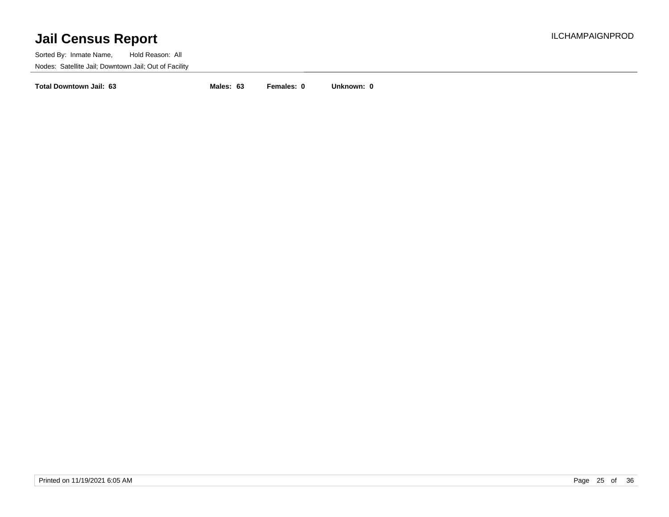Sorted By: Inmate Name, Hold Reason: All Nodes: Satellite Jail; Downtown Jail; Out of Facility

**Total Downtown Jail: 63 Males: 63 Females: 0 Unknown: 0**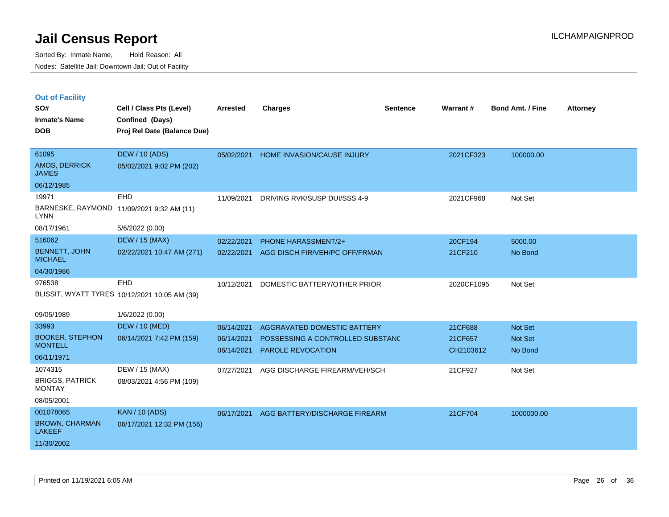|  |  | <b>Out of Facility</b> |
|--|--|------------------------|
|  |  |                        |

| SO#<br><b>Inmate's Name</b><br><b>DOB</b> | Cell / Class Pts (Level)<br>Confined (Days)<br>Proj Rel Date (Balance Due) | <b>Arrested</b> | <b>Charges</b>                    | <b>Sentence</b> | Warrant#   | <b>Bond Amt. / Fine</b> | <b>Attorney</b> |
|-------------------------------------------|----------------------------------------------------------------------------|-----------------|-----------------------------------|-----------------|------------|-------------------------|-----------------|
| 61095<br>AMOS, DERRICK<br><b>JAMES</b>    | <b>DEW / 10 (ADS)</b><br>05/02/2021 9:02 PM (202)                          | 05/02/2021      | <b>HOME INVASION/CAUSE INJURY</b> |                 | 2021CF323  | 100000.00               |                 |
| 06/12/1985                                |                                                                            |                 |                                   |                 |            |                         |                 |
| 19971                                     | EHD                                                                        | 11/09/2021      | DRIVING RVK/SUSP DUI/SSS 4-9      |                 | 2021CF968  | Not Set                 |                 |
| <b>LYNN</b>                               | BARNESKE, RAYMOND 11/09/2021 9:32 AM (11)                                  |                 |                                   |                 |            |                         |                 |
| 08/17/1961                                | 5/6/2022 (0.00)                                                            |                 |                                   |                 |            |                         |                 |
| 516062                                    | <b>DEW / 15 (MAX)</b>                                                      | 02/22/2021      | PHONE HARASSMENT/2+               |                 | 20CF194    | 5000.00                 |                 |
| <b>BENNETT, JOHN</b><br><b>MICHAEL</b>    | 02/22/2021 10:47 AM (271)                                                  | 02/22/2021      | AGG DISCH FIR/VEH/PC OFF/FRMAN    |                 | 21CF210    | No Bond                 |                 |
| 04/30/1986                                |                                                                            |                 |                                   |                 |            |                         |                 |
| 976538                                    | EHD                                                                        | 10/12/2021      | DOMESTIC BATTERY/OTHER PRIOR      |                 | 2020CF1095 | Not Set                 |                 |
|                                           | BLISSIT, WYATT TYRES 10/12/2021 10:05 AM (39)                              |                 |                                   |                 |            |                         |                 |
| 09/05/1989                                | 1/6/2022 (0.00)                                                            |                 |                                   |                 |            |                         |                 |
| 33993                                     | <b>DEW / 10 (MED)</b>                                                      | 06/14/2021      | AGGRAVATED DOMESTIC BATTERY       |                 | 21CF688    | <b>Not Set</b>          |                 |
| <b>BOOKER, STEPHON</b>                    | 06/14/2021 7:42 PM (159)                                                   | 06/14/2021      | POSSESSING A CONTROLLED SUBSTANC  |                 | 21CF657    | Not Set                 |                 |
| <b>MONTELL</b>                            |                                                                            | 06/14/2021      | <b>PAROLE REVOCATION</b>          |                 | CH2103612  | No Bond                 |                 |
| 06/11/1971                                |                                                                            |                 |                                   |                 |            |                         |                 |
| 1074315                                   | DEW / 15 (MAX)                                                             | 07/27/2021      | AGG DISCHARGE FIREARM/VEH/SCH     |                 | 21CF927    | Not Set                 |                 |
| <b>BRIGGS, PATRICK</b><br><b>MONTAY</b>   | 08/03/2021 4:56 PM (109)                                                   |                 |                                   |                 |            |                         |                 |
| 08/05/2001                                |                                                                            |                 |                                   |                 |            |                         |                 |
| 001078065                                 | <b>KAN / 10 (ADS)</b>                                                      | 06/17/2021      | AGG BATTERY/DISCHARGE FIREARM     |                 | 21CF704    | 1000000.00              |                 |
| <b>BROWN, CHARMAN</b><br><b>LAKEEF</b>    | 06/17/2021 12:32 PM (156)                                                  |                 |                                   |                 |            |                         |                 |
| 11/30/2002                                |                                                                            |                 |                                   |                 |            |                         |                 |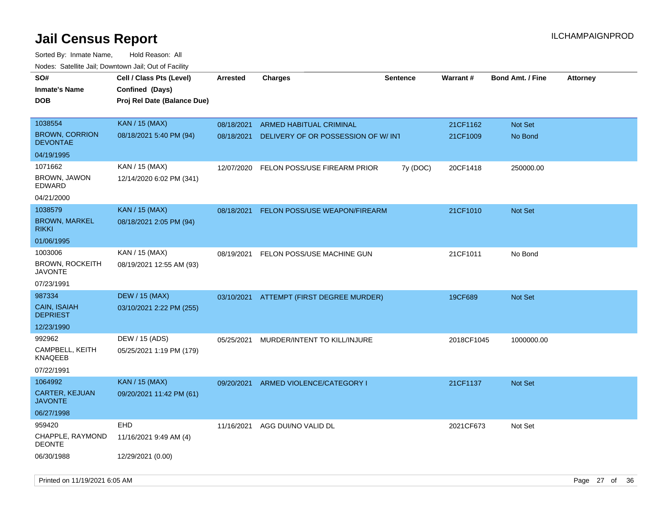| <b>NOULD:</b> Cutomto buil, Downtown buil, Out of Fability |                                                                            |                 |                                          |                 |            |                         |                 |
|------------------------------------------------------------|----------------------------------------------------------------------------|-----------------|------------------------------------------|-----------------|------------|-------------------------|-----------------|
| SO#<br><b>Inmate's Name</b><br><b>DOB</b>                  | Cell / Class Pts (Level)<br>Confined (Days)<br>Proj Rel Date (Balance Due) | <b>Arrested</b> | <b>Charges</b>                           | <b>Sentence</b> | Warrant#   | <b>Bond Amt. / Fine</b> | <b>Attorney</b> |
|                                                            |                                                                            |                 |                                          |                 |            |                         |                 |
| 1038554                                                    | <b>KAN / 15 (MAX)</b>                                                      | 08/18/2021      | <b>ARMED HABITUAL CRIMINAL</b>           |                 | 21CF1162   | Not Set                 |                 |
| <b>BROWN, CORRION</b><br><b>DEVONTAE</b>                   | 08/18/2021 5:40 PM (94)                                                    | 08/18/2021      | DELIVERY OF OR POSSESSION OF W/ INT      |                 | 21CF1009   | No Bond                 |                 |
| 04/19/1995                                                 |                                                                            |                 |                                          |                 |            |                         |                 |
| 1071662                                                    | KAN / 15 (MAX)                                                             | 12/07/2020      | FELON POSS/USE FIREARM PRIOR             | 7y (DOC)        | 20CF1418   | 250000.00               |                 |
| BROWN, JAWON<br>EDWARD                                     | 12/14/2020 6:02 PM (341)                                                   |                 |                                          |                 |            |                         |                 |
| 04/21/2000                                                 |                                                                            |                 |                                          |                 |            |                         |                 |
| 1038579                                                    | <b>KAN / 15 (MAX)</b>                                                      | 08/18/2021      | FELON POSS/USE WEAPON/FIREARM            |                 | 21CF1010   | Not Set                 |                 |
| <b>BROWN, MARKEL</b><br><b>RIKKI</b>                       | 08/18/2021 2:05 PM (94)                                                    |                 |                                          |                 |            |                         |                 |
| 01/06/1995                                                 |                                                                            |                 |                                          |                 |            |                         |                 |
| 1003006                                                    | KAN / 15 (MAX)                                                             | 08/19/2021      | FELON POSS/USE MACHINE GUN               |                 | 21CF1011   | No Bond                 |                 |
| <b>BROWN, ROCKEITH</b><br><b>JAVONTE</b>                   | 08/19/2021 12:55 AM (93)                                                   |                 |                                          |                 |            |                         |                 |
| 07/23/1991                                                 |                                                                            |                 |                                          |                 |            |                         |                 |
| 987334                                                     | <b>DEW / 15 (MAX)</b>                                                      |                 | 03/10/2021 ATTEMPT (FIRST DEGREE MURDER) |                 | 19CF689    | Not Set                 |                 |
| <b>CAIN, ISAIAH</b><br><b>DEPRIEST</b>                     | 03/10/2021 2:22 PM (255)                                                   |                 |                                          |                 |            |                         |                 |
| 12/23/1990                                                 |                                                                            |                 |                                          |                 |            |                         |                 |
| 992962                                                     | DEW / 15 (ADS)                                                             | 05/25/2021      | MURDER/INTENT TO KILL/INJURE             |                 | 2018CF1045 | 1000000.00              |                 |
| CAMPBELL, KEITH<br><b>KNAQEEB</b>                          | 05/25/2021 1:19 PM (179)                                                   |                 |                                          |                 |            |                         |                 |
| 07/22/1991                                                 |                                                                            |                 |                                          |                 |            |                         |                 |
| 1064992                                                    | <b>KAN / 15 (MAX)</b>                                                      | 09/20/2021      | ARMED VIOLENCE/CATEGORY I                |                 | 21CF1137   | Not Set                 |                 |
| <b>CARTER, KEJUAN</b><br><b>JAVONTE</b>                    | 09/20/2021 11:42 PM (61)                                                   |                 |                                          |                 |            |                         |                 |
| 06/27/1998                                                 |                                                                            |                 |                                          |                 |            |                         |                 |
| 959420                                                     | EHD                                                                        | 11/16/2021      | AGG DUI/NO VALID DL                      |                 | 2021CF673  | Not Set                 |                 |
| <b>CHAPPLE, RAYMOND</b><br><b>DEONTE</b>                   | 11/16/2021 9:49 AM (4)                                                     |                 |                                          |                 |            |                         |                 |
| 06/30/1988                                                 | 12/29/2021 (0.00)                                                          |                 |                                          |                 |            |                         |                 |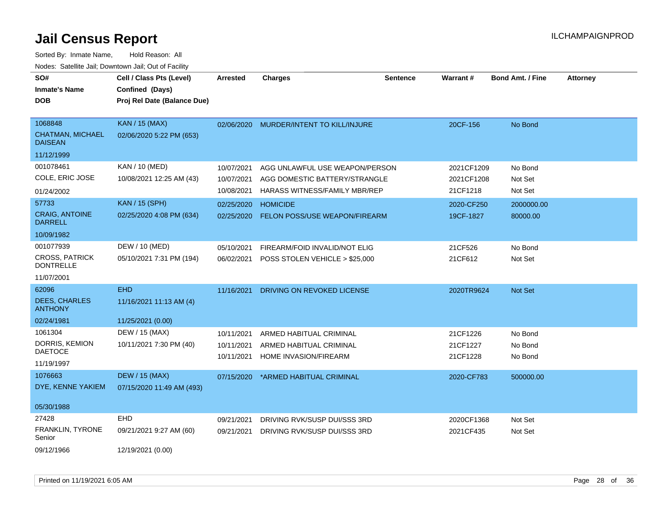| SO#<br><b>Inmate's Name</b><br><b>DOB</b>                            | Cell / Class Pts (Level)<br>Confined (Days)<br>Proj Rel Date (Balance Due) | <b>Arrested</b>                        | <b>Charges</b>                                                                                   | <b>Sentence</b> | <b>Warrant#</b>                      | <b>Bond Amt. / Fine</b>       | <b>Attorney</b> |
|----------------------------------------------------------------------|----------------------------------------------------------------------------|----------------------------------------|--------------------------------------------------------------------------------------------------|-----------------|--------------------------------------|-------------------------------|-----------------|
| 1068848<br>CHATMAN, MICHAEL<br><b>DAISEAN</b>                        | <b>KAN / 15 (MAX)</b><br>02/06/2020 5:22 PM (653)                          | 02/06/2020                             | MURDER/INTENT TO KILL/INJURE                                                                     |                 | 20CF-156                             | No Bond                       |                 |
| 11/12/1999<br>001078461<br>COLE, ERIC JOSE<br>01/24/2002             | <b>KAN / 10 (MED)</b><br>10/08/2021 12:25 AM (43)                          | 10/07/2021<br>10/07/2021<br>10/08/2021 | AGG UNLAWFUL USE WEAPON/PERSON<br>AGG DOMESTIC BATTERY/STRANGLE<br>HARASS WITNESS/FAMILY MBR/REP |                 | 2021CF1209<br>2021CF1208<br>21CF1218 | No Bond<br>Not Set<br>Not Set |                 |
| 57733<br><b>CRAIG, ANTOINE</b><br><b>DARRELL</b><br>10/09/1982       | <b>KAN / 15 (SPH)</b><br>02/25/2020 4:08 PM (634)                          | 02/25/2020<br>02/25/2020               | <b>HOMICIDE</b><br><b>FELON POSS/USE WEAPON/FIREARM</b>                                          |                 | 2020-CF250<br>19CF-1827              | 2000000.00<br>80000.00        |                 |
| 001077939<br><b>CROSS, PATRICK</b><br><b>DONTRELLE</b><br>11/07/2001 | DEW / 10 (MED)<br>05/10/2021 7:31 PM (194)                                 | 05/10/2021<br>06/02/2021               | FIREARM/FOID INVALID/NOT ELIG<br>POSS STOLEN VEHICLE > \$25,000                                  |                 | 21CF526<br>21CF612                   | No Bond<br>Not Set            |                 |
| 62096<br><b>DEES, CHARLES</b><br><b>ANTHONY</b><br>02/24/1981        | <b>EHD</b><br>11/16/2021 11:13 AM (4)<br>11/25/2021 (0.00)                 | 11/16/2021                             | DRIVING ON REVOKED LICENSE                                                                       |                 | 2020TR9624                           | Not Set                       |                 |
| 1061304<br>DORRIS, KEMION<br><b>DAETOCE</b><br>11/19/1997            | DEW / 15 (MAX)<br>10/11/2021 7:30 PM (40)                                  | 10/11/2021<br>10/11/2021<br>10/11/2021 | ARMED HABITUAL CRIMINAL<br>ARMED HABITUAL CRIMINAL<br>HOME INVASION/FIREARM                      |                 | 21CF1226<br>21CF1227<br>21CF1228     | No Bond<br>No Bond<br>No Bond |                 |
| 1076663<br>DYE, KENNE YAKIEM<br>05/30/1988                           | <b>DEW / 15 (MAX)</b><br>07/15/2020 11:49 AM (493)                         | 07/15/2020                             | *ARMED HABITUAL CRIMINAL                                                                         |                 | 2020-CF783                           | 500000.00                     |                 |
| 27428<br>FRANKLIN, TYRONE<br>Senior<br>09/12/1966                    | <b>EHD</b><br>09/21/2021 9:27 AM (60)<br>12/19/2021 (0.00)                 | 09/21/2021<br>09/21/2021               | DRIVING RVK/SUSP DUI/SSS 3RD<br>DRIVING RVK/SUSP DUI/SSS 3RD                                     |                 | 2020CF1368<br>2021CF435              | Not Set<br>Not Set            |                 |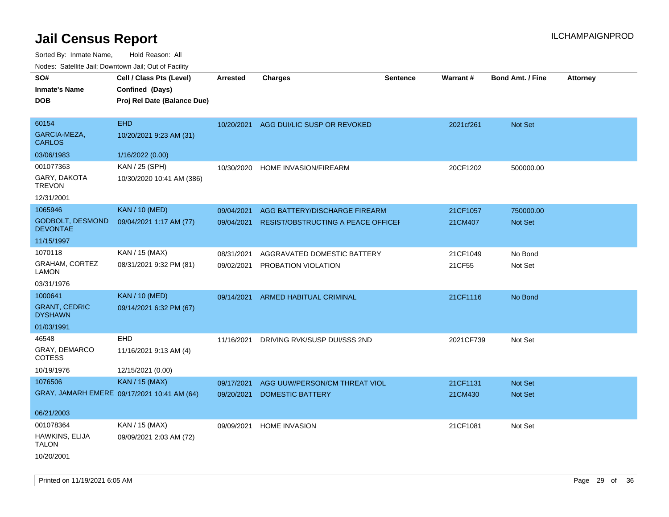| SO#<br><b>Inmate's Name</b><br><b>DOB</b>                | Cell / Class Pts (Level)<br>Confined (Days)<br>Proj Rel Date (Balance Due) | <b>Arrested</b> | <b>Charges</b>                                | <b>Sentence</b> | <b>Warrant#</b> | <b>Bond Amt. / Fine</b> | <b>Attorney</b> |
|----------------------------------------------------------|----------------------------------------------------------------------------|-----------------|-----------------------------------------------|-----------------|-----------------|-------------------------|-----------------|
| 60154<br>GARCIA-MEZA,<br><b>CARLOS</b>                   | <b>EHD</b><br>10/20/2021 9:23 AM (31)                                      | 10/20/2021      | AGG DUI/LIC SUSP OR REVOKED                   |                 | 2021cf261       | <b>Not Set</b>          |                 |
| 03/06/1983                                               | 1/16/2022 (0.00)                                                           |                 |                                               |                 |                 |                         |                 |
| 001077363<br>GARY, DAKOTA<br><b>TREVON</b><br>12/31/2001 | KAN / 25 (SPH)<br>10/30/2020 10:41 AM (386)                                | 10/30/2020      | <b>HOME INVASION/FIREARM</b>                  |                 | 20CF1202        | 500000.00               |                 |
| 1065946                                                  | <b>KAN / 10 (MED)</b>                                                      | 09/04/2021      | AGG BATTERY/DISCHARGE FIREARM                 |                 | 21CF1057        | 750000.00               |                 |
| GODBOLT, DESMOND<br><b>DEVONTAE</b>                      | 09/04/2021 1:17 AM (77)                                                    |                 | 09/04/2021 RESIST/OBSTRUCTING A PEACE OFFICEH |                 | 21CM407         | Not Set                 |                 |
| 11/15/1997                                               |                                                                            |                 |                                               |                 |                 |                         |                 |
| 1070118                                                  | KAN / 15 (MAX)                                                             | 08/31/2021      | AGGRAVATED DOMESTIC BATTERY                   |                 | 21CF1049        | No Bond                 |                 |
| GRAHAM, CORTEZ<br><b>LAMON</b>                           | 08/31/2021 9:32 PM (81)                                                    | 09/02/2021      | PROBATION VIOLATION                           |                 | 21CF55          | Not Set                 |                 |
| 03/31/1976                                               |                                                                            |                 |                                               |                 |                 |                         |                 |
| 1000641                                                  | <b>KAN / 10 (MED)</b>                                                      | 09/14/2021      | ARMED HABITUAL CRIMINAL                       |                 | 21CF1116        | No Bond                 |                 |
| <b>GRANT, CEDRIC</b><br><b>DYSHAWN</b>                   | 09/14/2021 6:32 PM (67)                                                    |                 |                                               |                 |                 |                         |                 |
| 01/03/1991                                               |                                                                            |                 |                                               |                 |                 |                         |                 |
| 46548                                                    | EHD                                                                        | 11/16/2021      | DRIVING RVK/SUSP DUI/SSS 2ND                  |                 | 2021CF739       | Not Set                 |                 |
| GRAY, DEMARCO<br><b>COTESS</b>                           | 11/16/2021 9:13 AM (4)                                                     |                 |                                               |                 |                 |                         |                 |
| 10/19/1976                                               | 12/15/2021 (0.00)                                                          |                 |                                               |                 |                 |                         |                 |
| 1076506                                                  | <b>KAN / 15 (MAX)</b>                                                      | 09/17/2021      | AGG UUW/PERSON/CM THREAT VIOL                 |                 | 21CF1131        | <b>Not Set</b>          |                 |
|                                                          | GRAY, JAMARH EMERE 09/17/2021 10:41 AM (64)                                | 09/20/2021      | <b>DOMESTIC BATTERY</b>                       |                 | 21CM430         | Not Set                 |                 |
| 06/21/2003                                               |                                                                            |                 |                                               |                 |                 |                         |                 |
| 001078364                                                | KAN / 15 (MAX)                                                             | 09/09/2021      | <b>HOME INVASION</b>                          |                 | 21CF1081        | Not Set                 |                 |
| HAWKINS, ELIJA<br><b>TALON</b>                           | 09/09/2021 2:03 AM (72)                                                    |                 |                                               |                 |                 |                         |                 |
| 10/20/2001                                               |                                                                            |                 |                                               |                 |                 |                         |                 |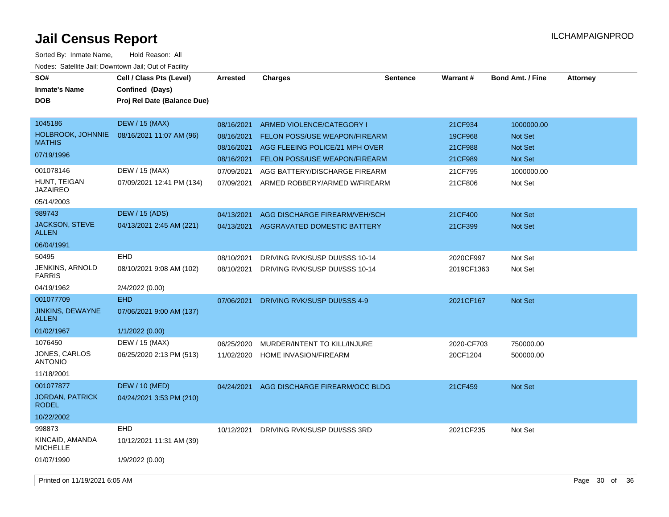| SO#<br><b>Inmate's Name</b><br><b>DOB</b>                          | Cell / Class Pts (Level)<br>Confined (Days)<br>Proj Rel Date (Balance Due) | <b>Arrested</b>                                      | <b>Charges</b>                                                                                                                | <b>Sentence</b> | Warrant#                                 | <b>Bond Amt. / Fine</b>                                   | <b>Attorney</b> |    |
|--------------------------------------------------------------------|----------------------------------------------------------------------------|------------------------------------------------------|-------------------------------------------------------------------------------------------------------------------------------|-----------------|------------------------------------------|-----------------------------------------------------------|-----------------|----|
| 1045186<br><b>HOLBROOK, JOHNNIE</b><br><b>MATHIS</b><br>07/19/1996 | <b>DEW / 15 (MAX)</b><br>08/16/2021 11:07 AM (96)                          | 08/16/2021<br>08/16/2021<br>08/16/2021<br>08/16/2021 | ARMED VIOLENCE/CATEGORY I<br>FELON POSS/USE WEAPON/FIREARM<br>AGG FLEEING POLICE/21 MPH OVER<br>FELON POSS/USE WEAPON/FIREARM |                 | 21CF934<br>19CF968<br>21CF988<br>21CF989 | 1000000.00<br><b>Not Set</b><br>Not Set<br><b>Not Set</b> |                 |    |
| 001078146<br>HUNT, TEIGAN<br><b>JAZAIREO</b><br>05/14/2003         | DEW / 15 (MAX)<br>07/09/2021 12:41 PM (134)                                | 07/09/2021<br>07/09/2021                             | AGG BATTERY/DISCHARGE FIREARM<br>ARMED ROBBERY/ARMED W/FIREARM                                                                |                 | 21CF795<br>21CF806                       | 1000000.00<br>Not Set                                     |                 |    |
| 989743<br><b>JACKSON, STEVE</b><br><b>ALLEN</b><br>06/04/1991      | DEW / 15 (ADS)<br>04/13/2021 2:45 AM (221)                                 | 04/13/2021<br>04/13/2021                             | AGG DISCHARGE FIREARM/VEH/SCH<br>AGGRAVATED DOMESTIC BATTERY                                                                  |                 | 21CF400<br>21CF399                       | Not Set<br>Not Set                                        |                 |    |
| 50495<br>JENKINS, ARNOLD<br><b>FARRIS</b><br>04/19/1962            | <b>EHD</b><br>08/10/2021 9:08 AM (102)<br>2/4/2022 (0.00)                  | 08/10/2021<br>08/10/2021                             | DRIVING RVK/SUSP DUI/SSS 10-14<br>DRIVING RVK/SUSP DUI/SSS 10-14                                                              |                 | 2020CF997<br>2019CF1363                  | Not Set<br>Not Set                                        |                 |    |
| 001077709<br><b>JINKINS, DEWAYNE</b><br><b>ALLEN</b><br>01/02/1967 | <b>EHD</b><br>07/06/2021 9:00 AM (137)<br>1/1/2022 (0.00)                  | 07/06/2021                                           | DRIVING RVK/SUSP DUI/SSS 4-9                                                                                                  |                 | 2021CF167                                | Not Set                                                   |                 |    |
| 1076450<br>JONES, CARLOS<br><b>ANTONIO</b><br>11/18/2001           | DEW / 15 (MAX)<br>06/25/2020 2:13 PM (513)                                 | 06/25/2020<br>11/02/2020                             | MURDER/INTENT TO KILL/INJURE<br>HOME INVASION/FIREARM                                                                         |                 | 2020-CF703<br>20CF1204                   | 750000.00<br>500000.00                                    |                 |    |
| 001077877<br>JORDAN, PATRICK<br><b>RODEL</b><br>10/22/2002         | DEW / 10 (MED)<br>04/24/2021 3:53 PM (210)                                 | 04/24/2021                                           | AGG DISCHARGE FIREARM/OCC BLDG                                                                                                |                 | 21CF459                                  | Not Set                                                   |                 |    |
| 998873<br>KINCAID, AMANDA<br><b>MICHELLE</b><br>01/07/1990         | <b>EHD</b><br>10/12/2021 11:31 AM (39)<br>1/9/2022 (0.00)                  | 10/12/2021                                           | DRIVING RVK/SUSP DUI/SSS 3RD                                                                                                  |                 | 2021CF235                                | Not Set                                                   |                 |    |
| Printed on 11/19/2021 6:05 AM                                      |                                                                            |                                                      |                                                                                                                               |                 |                                          |                                                           | Page 30 of      | 36 |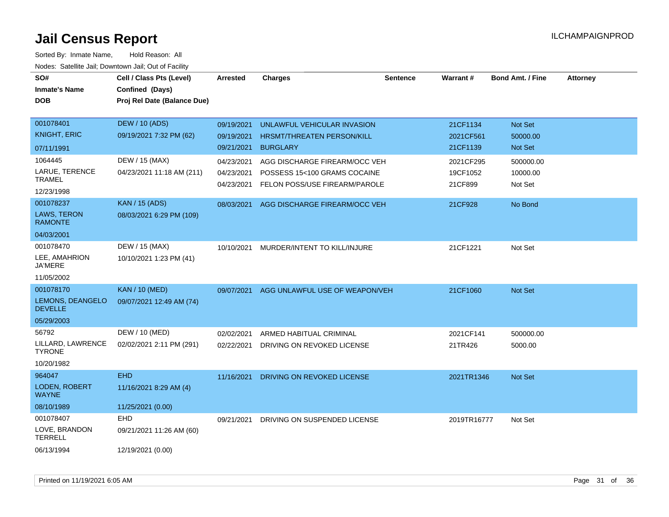| SO#                                | Cell / Class Pts (Level)    | <b>Arrested</b>          | <b>Charges</b>                                                | <b>Sentence</b> | <b>Warrant#</b>     | <b>Bond Amt. / Fine</b> | <b>Attorney</b> |
|------------------------------------|-----------------------------|--------------------------|---------------------------------------------------------------|-----------------|---------------------|-------------------------|-----------------|
| <b>Inmate's Name</b>               | Confined (Days)             |                          |                                                               |                 |                     |                         |                 |
| <b>DOB</b>                         | Proj Rel Date (Balance Due) |                          |                                                               |                 |                     |                         |                 |
|                                    |                             |                          |                                                               |                 |                     |                         |                 |
| 001078401                          | <b>DEW / 10 (ADS)</b>       | 09/19/2021               | UNLAWFUL VEHICULAR INVASION                                   |                 | 21CF1134            | Not Set                 |                 |
| <b>KNIGHT, ERIC</b>                | 09/19/2021 7:32 PM (62)     | 09/19/2021               | HRSMT/THREATEN PERSON/KILL                                    |                 | 2021CF561           | 50000.00                |                 |
| 07/11/1991                         |                             | 09/21/2021               | <b>BURGLARY</b>                                               |                 | 21CF1139            | Not Set                 |                 |
| 1064445                            | DEW / 15 (MAX)              | 04/23/2021               | AGG DISCHARGE FIREARM/OCC VEH                                 |                 | 2021CF295           | 500000.00               |                 |
| LARUE, TERENCE<br><b>TRAMEL</b>    | 04/23/2021 11:18 AM (211)   | 04/23/2021<br>04/23/2021 | POSSESS 15<100 GRAMS COCAINE<br>FELON POSS/USE FIREARM/PAROLE |                 | 19CF1052<br>21CF899 | 10000.00<br>Not Set     |                 |
| 12/23/1998                         |                             |                          |                                                               |                 |                     |                         |                 |
| 001078237                          | <b>KAN / 15 (ADS)</b>       |                          | 08/03/2021 AGG DISCHARGE FIREARM/OCC VEH                      |                 | 21CF928             | No Bond                 |                 |
| LAWS, TERON<br><b>RAMONTE</b>      | 08/03/2021 6:29 PM (109)    |                          |                                                               |                 |                     |                         |                 |
| 04/03/2001                         |                             |                          |                                                               |                 |                     |                         |                 |
| 001078470                          | DEW / 15 (MAX)              | 10/10/2021               | MURDER/INTENT TO KILL/INJURE                                  |                 | 21CF1221            | Not Set                 |                 |
| LEE, AMAHRION<br><b>JA'MERE</b>    | 10/10/2021 1:23 PM (41)     |                          |                                                               |                 |                     |                         |                 |
| 11/05/2002                         |                             |                          |                                                               |                 |                     |                         |                 |
| 001078170                          | <b>KAN / 10 (MED)</b>       | 09/07/2021               | AGG UNLAWFUL USE OF WEAPON/VEH                                |                 | 21CF1060            | Not Set                 |                 |
| LEMONS, DEANGELO<br><b>DEVELLE</b> | 09/07/2021 12:49 AM (74)    |                          |                                                               |                 |                     |                         |                 |
| 05/29/2003                         |                             |                          |                                                               |                 |                     |                         |                 |
| 56792                              | DEW / 10 (MED)              | 02/02/2021               | ARMED HABITUAL CRIMINAL                                       |                 | 2021CF141           | 500000.00               |                 |
| LILLARD, LAWRENCE<br><b>TYRONE</b> | 02/02/2021 2:11 PM (291)    | 02/22/2021               | DRIVING ON REVOKED LICENSE                                    |                 | 21TR426             | 5000.00                 |                 |
| 10/20/1982                         |                             |                          |                                                               |                 |                     |                         |                 |
| 964047                             | EHD                         | 11/16/2021               | DRIVING ON REVOKED LICENSE                                    |                 | 2021TR1346          | Not Set                 |                 |
| LODEN, ROBERT<br><b>WAYNE</b>      | 11/16/2021 8:29 AM (4)      |                          |                                                               |                 |                     |                         |                 |
| 08/10/1989                         | 11/25/2021 (0.00)           |                          |                                                               |                 |                     |                         |                 |
| 001078407                          | <b>EHD</b>                  | 09/21/2021               | DRIVING ON SUSPENDED LICENSE                                  |                 | 2019TR16777         | Not Set                 |                 |
| LOVE, BRANDON<br><b>TERRELL</b>    | 09/21/2021 11:26 AM (60)    |                          |                                                               |                 |                     |                         |                 |
| 06/13/1994                         | 12/19/2021 (0.00)           |                          |                                                               |                 |                     |                         |                 |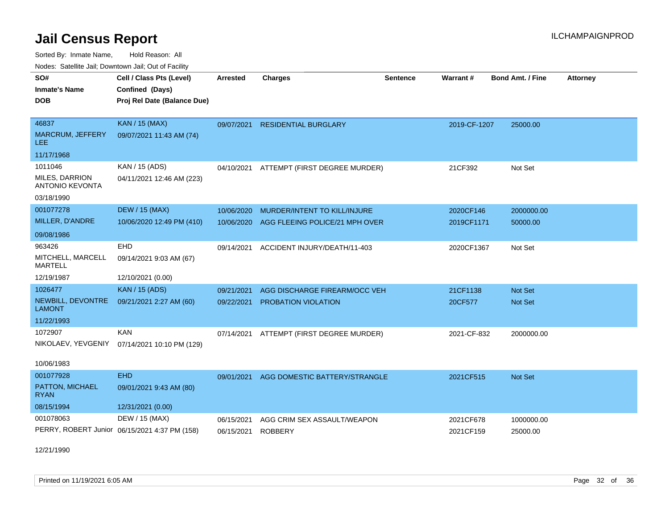Sorted By: Inmate Name, Hold Reason: All Nodes: Satellite Jail; Downtown Jail; Out of Facility

| ivouss. Saleline Jali, Downtown Jali, Out of Facility |                                               |                 |                                          |                 |              |                         |                 |
|-------------------------------------------------------|-----------------------------------------------|-----------------|------------------------------------------|-----------------|--------------|-------------------------|-----------------|
| SO#                                                   | Cell / Class Pts (Level)                      | <b>Arrested</b> | <b>Charges</b>                           | <b>Sentence</b> | Warrant#     | <b>Bond Amt. / Fine</b> | <b>Attorney</b> |
| <b>Inmate's Name</b>                                  | Confined (Days)                               |                 |                                          |                 |              |                         |                 |
| <b>DOB</b>                                            | Proj Rel Date (Balance Due)                   |                 |                                          |                 |              |                         |                 |
|                                                       |                                               |                 |                                          |                 |              |                         |                 |
| 46837                                                 | <b>KAN / 15 (MAX)</b>                         | 09/07/2021      | <b>RESIDENTIAL BURGLARY</b>              |                 | 2019-CF-1207 | 25000.00                |                 |
| <b>MARCRUM, JEFFERY</b><br>LEE.                       | 09/07/2021 11:43 AM (74)                      |                 |                                          |                 |              |                         |                 |
| 11/17/1968                                            |                                               |                 |                                          |                 |              |                         |                 |
| 1011046                                               | KAN / 15 (ADS)                                |                 | 04/10/2021 ATTEMPT (FIRST DEGREE MURDER) |                 | 21CF392      | Not Set                 |                 |
| MILES, DARRION<br><b>ANTONIO KEVONTA</b>              | 04/11/2021 12:46 AM (223)                     |                 |                                          |                 |              |                         |                 |
| 03/18/1990                                            |                                               |                 |                                          |                 |              |                         |                 |
| 001077278                                             | <b>DEW / 15 (MAX)</b>                         | 10/06/2020      | MURDER/INTENT TO KILL/INJURE             |                 | 2020CF146    | 2000000.00              |                 |
| MILLER, D'ANDRE                                       | 10/06/2020 12:49 PM (410)                     | 10/06/2020      | AGG FLEEING POLICE/21 MPH OVER           |                 | 2019CF1171   | 50000.00                |                 |
| 09/08/1986                                            |                                               |                 |                                          |                 |              |                         |                 |
| 963426                                                | EHD                                           | 09/14/2021      | ACCIDENT INJURY/DEATH/11-403             |                 | 2020CF1367   | Not Set                 |                 |
| MITCHELL, MARCELL<br>MARTELL                          | 09/14/2021 9:03 AM (67)                       |                 |                                          |                 |              |                         |                 |
| 12/19/1987                                            | 12/10/2021 (0.00)                             |                 |                                          |                 |              |                         |                 |
| 1026477                                               | <b>KAN / 15 (ADS)</b>                         | 09/21/2021      | AGG DISCHARGE FIREARM/OCC VEH            |                 | 21CF1138     | <b>Not Set</b>          |                 |
| NEWBILL, DEVONTRE<br><b>LAMONT</b>                    | 09/21/2021 2:27 AM (60)                       | 09/22/2021      | <b>PROBATION VIOLATION</b>               |                 | 20CF577      | <b>Not Set</b>          |                 |
| 11/22/1993                                            |                                               |                 |                                          |                 |              |                         |                 |
| 1072907                                               | KAN                                           | 07/14/2021      | ATTEMPT (FIRST DEGREE MURDER)            |                 | 2021-CF-832  | 2000000.00              |                 |
| NIKOLAEV, YEVGENIY                                    | 07/14/2021 10:10 PM (129)                     |                 |                                          |                 |              |                         |                 |
| 10/06/1983                                            |                                               |                 |                                          |                 |              |                         |                 |
| 001077928                                             | <b>EHD</b>                                    |                 |                                          |                 |              |                         |                 |
| PATTON, MICHAEL                                       | 09/01/2021 9:43 AM (80)                       | 09/01/2021      | AGG DOMESTIC BATTERY/STRANGLE            |                 | 2021CF515    | <b>Not Set</b>          |                 |
| <b>RYAN</b>                                           |                                               |                 |                                          |                 |              |                         |                 |
| 08/15/1994                                            | 12/31/2021 (0.00)                             |                 |                                          |                 |              |                         |                 |
| 001078063                                             | DEW / 15 (MAX)                                | 06/15/2021      | AGG CRIM SEX ASSAULT/WEAPON              |                 | 2021CF678    | 1000000.00              |                 |
|                                                       | PERRY, ROBERT Junior 06/15/2021 4:37 PM (158) | 06/15/2021      | <b>ROBBERY</b>                           |                 | 2021CF159    | 25000.00                |                 |
|                                                       |                                               |                 |                                          |                 |              |                         |                 |

12/21/1990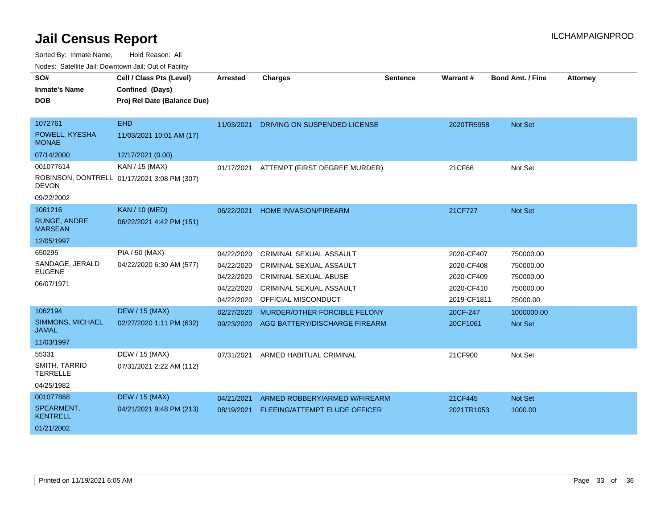Sorted By: Inmate Name, Hold Reason: All

Nodes: Satellite Jail; Downtown Jail; Out of Facility

| SO#<br><b>Inmate's Name</b><br><b>DOB</b> | Cell / Class Pts (Level)<br>Confined (Days)<br>Proj Rel Date (Balance Due) | <b>Arrested</b> | <b>Charges</b>                 | <b>Sentence</b> | <b>Warrant#</b> | <b>Bond Amt. / Fine</b> | <b>Attorney</b> |
|-------------------------------------------|----------------------------------------------------------------------------|-----------------|--------------------------------|-----------------|-----------------|-------------------------|-----------------|
| 1072761<br>POWELL, KYESHA<br><b>MONAE</b> | <b>EHD</b><br>11/03/2021 10:01 AM (17)                                     | 11/03/2021      | DRIVING ON SUSPENDED LICENSE   |                 | 2020TR5958      | Not Set                 |                 |
| 07/14/2000                                | 12/17/2021 (0.00)                                                          |                 |                                |                 |                 |                         |                 |
| 001077614                                 | KAN / 15 (MAX)                                                             | 01/17/2021      | ATTEMPT (FIRST DEGREE MURDER)  |                 | 21CF66          | Not Set                 |                 |
| <b>DEVON</b>                              | ROBINSON, DONTRELL 01/17/2021 3:08 PM (307)                                |                 |                                |                 |                 |                         |                 |
| 09/22/2002                                |                                                                            |                 |                                |                 |                 |                         |                 |
| 1061216                                   | <b>KAN / 10 (MED)</b>                                                      | 06/22/2021      | <b>HOME INVASION/FIREARM</b>   |                 | 21CF727         | Not Set                 |                 |
| <b>RUNGE, ANDRE</b><br><b>MARSEAN</b>     | 06/22/2021 4:42 PM (151)                                                   |                 |                                |                 |                 |                         |                 |
| 12/05/1997                                |                                                                            |                 |                                |                 |                 |                         |                 |
| 650295                                    | PIA / 50 (MAX)                                                             | 04/22/2020      | <b>CRIMINAL SEXUAL ASSAULT</b> |                 | 2020-CF407      | 750000.00               |                 |
| SANDAGE, JERALD                           | 04/22/2020 6:30 AM (577)                                                   | 04/22/2020      | CRIMINAL SEXUAL ASSAULT        |                 | 2020-CF408      | 750000.00               |                 |
| <b>EUGENE</b>                             |                                                                            | 04/22/2020      | <b>CRIMINAL SEXUAL ABUSE</b>   |                 | 2020-CF409      | 750000.00               |                 |
| 06/07/1971                                |                                                                            | 04/22/2020      | <b>CRIMINAL SEXUAL ASSAULT</b> |                 | 2020-CF410      | 750000.00               |                 |
|                                           |                                                                            | 04/22/2020      | OFFICIAL MISCONDUCT            |                 | 2019-CF1811     | 25000.00                |                 |
| 1062194                                   | <b>DEW / 15 (MAX)</b>                                                      | 02/27/2020      | MURDER/OTHER FORCIBLE FELONY   |                 | 20CF-247        | 1000000.00              |                 |
| SIMMONS, MICHAEL<br><b>JAMAL</b>          | 02/27/2020 1:11 PM (632)                                                   | 09/23/2020      | AGG BATTERY/DISCHARGE FIREARM  |                 | 20CF1061        | <b>Not Set</b>          |                 |
| 11/03/1997                                |                                                                            |                 |                                |                 |                 |                         |                 |
| 55331                                     | DEW / 15 (MAX)                                                             | 07/31/2021      | ARMED HABITUAL CRIMINAL        |                 | 21CF900         | Not Set                 |                 |
| SMITH, TARRIO<br><b>TERRELLE</b>          | 07/31/2021 2:22 AM (112)                                                   |                 |                                |                 |                 |                         |                 |
| 04/25/1982                                |                                                                            |                 |                                |                 |                 |                         |                 |
| 001077868                                 | <b>DEW / 15 (MAX)</b>                                                      | 04/21/2021      | ARMED ROBBERY/ARMED W/FIREARM  |                 | 21CF445         | Not Set                 |                 |
| SPEARMENT,<br><b>KENTRELL</b>             | 04/21/2021 9:48 PM (213)                                                   | 08/19/2021      | FLEEING/ATTEMPT ELUDE OFFICER  |                 | 2021TR1053      | 1000.00                 |                 |
| 01/21/2002                                |                                                                            |                 |                                |                 |                 |                         |                 |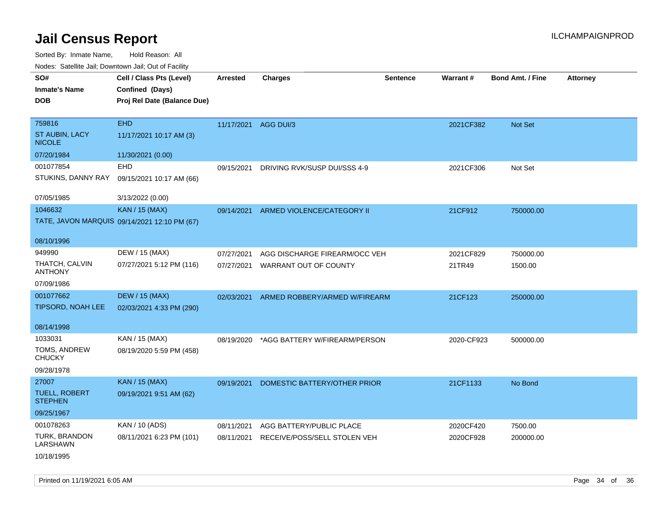Sorted By: Inmate Name, Hold Reason: All

| Nodes: Satellite Jail; Downtown Jail; Out of Facility |  |
|-------------------------------------------------------|--|
|-------------------------------------------------------|--|

| SO#<br><b>Inmate's Name</b><br><b>DOB</b> | Cell / Class Pts (Level)<br>Confined (Days)<br>Proj Rel Date (Balance Due) | <b>Arrested</b> | <b>Charges</b>                | <b>Sentence</b> | <b>Warrant#</b> | <b>Bond Amt. / Fine</b> | <b>Attorney</b> |
|-------------------------------------------|----------------------------------------------------------------------------|-----------------|-------------------------------|-----------------|-----------------|-------------------------|-----------------|
| 759816                                    | <b>EHD</b>                                                                 |                 | 11/17/2021 AGG DUI/3          |                 | 2021CF382       | Not Set                 |                 |
| ST AUBIN, LACY<br><b>NICOLE</b>           | 11/17/2021 10:17 AM (3)                                                    |                 |                               |                 |                 |                         |                 |
| 07/20/1984                                | 11/30/2021 (0.00)                                                          |                 |                               |                 |                 |                         |                 |
| 001077854                                 | <b>EHD</b>                                                                 | 09/15/2021      | DRIVING RVK/SUSP DUI/SSS 4-9  |                 | 2021CF306       | Not Set                 |                 |
| STUKINS, DANNY RAY                        | 09/15/2021 10:17 AM (66)                                                   |                 |                               |                 |                 |                         |                 |
| 07/05/1985                                | 3/13/2022 (0.00)                                                           |                 |                               |                 |                 |                         |                 |
| 1046632                                   | <b>KAN / 15 (MAX)</b>                                                      | 09/14/2021      | ARMED VIOLENCE/CATEGORY II    |                 | 21CF912         | 750000.00               |                 |
|                                           | TATE, JAVON MARQUIS 09/14/2021 12:10 PM (67)                               |                 |                               |                 |                 |                         |                 |
| 08/10/1996                                |                                                                            |                 |                               |                 |                 |                         |                 |
| 949990                                    | DEW / 15 (MAX)                                                             | 07/27/2021      | AGG DISCHARGE FIREARM/OCC VEH |                 | 2021CF829       | 750000.00               |                 |
| THATCH, CALVIN<br><b>ANTHONY</b>          | 07/27/2021 5:12 PM (116)                                                   | 07/27/2021      | WARRANT OUT OF COUNTY         |                 | 21TR49          | 1500.00                 |                 |
| 07/09/1986                                |                                                                            |                 |                               |                 |                 |                         |                 |
| 001077662                                 | <b>DEW / 15 (MAX)</b>                                                      | 02/03/2021      | ARMED ROBBERY/ARMED W/FIREARM |                 | 21CF123         | 250000.00               |                 |
| TIPSORD, NOAH LEE                         | 02/03/2021 4:33 PM (290)                                                   |                 |                               |                 |                 |                         |                 |
| 08/14/1998                                |                                                                            |                 |                               |                 |                 |                         |                 |
| 1033031                                   | KAN / 15 (MAX)                                                             | 08/19/2020      | *AGG BATTERY W/FIREARM/PERSON |                 | 2020-CF923      | 500000.00               |                 |
| TOMS, ANDREW<br><b>CHUCKY</b>             | 08/19/2020 5:59 PM (458)                                                   |                 |                               |                 |                 |                         |                 |
| 09/28/1978                                |                                                                            |                 |                               |                 |                 |                         |                 |
| 27007                                     | <b>KAN / 15 (MAX)</b>                                                      | 09/19/2021      | DOMESTIC BATTERY/OTHER PRIOR  |                 | 21CF1133        | No Bond                 |                 |
| TUELL, ROBERT<br><b>STEPHEN</b>           | 09/19/2021 9:51 AM (62)                                                    |                 |                               |                 |                 |                         |                 |
| 09/25/1967                                |                                                                            |                 |                               |                 |                 |                         |                 |
| 001078263                                 | KAN / 10 (ADS)                                                             | 08/11/2021      | AGG BATTERY/PUBLIC PLACE      |                 | 2020CF420       | 7500.00                 |                 |
| TURK, BRANDON<br><b>LARSHAWN</b>          | 08/11/2021 6:23 PM (101)                                                   | 08/11/2021      | RECEIVE/POSS/SELL STOLEN VEH  |                 | 2020CF928       | 200000.00               |                 |
| 10/18/1995                                |                                                                            |                 |                               |                 |                 |                         |                 |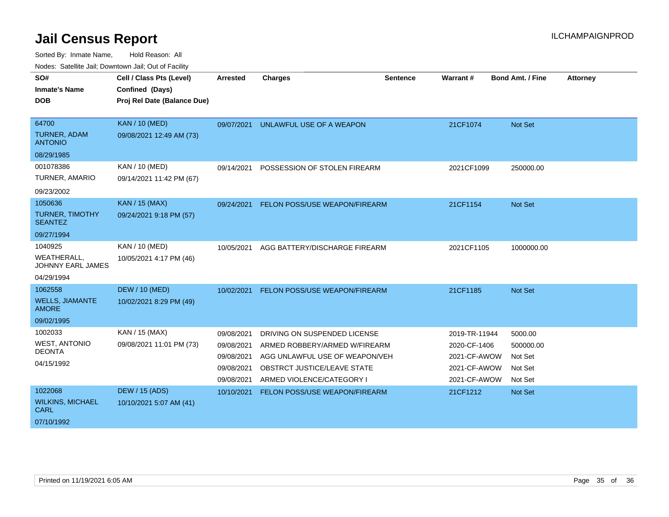| SO#<br><b>Inmate's Name</b>            | Cell / Class Pts (Level)<br>Confined (Days) | <b>Arrested</b> | <b>Charges</b>                 | <b>Sentence</b> | <b>Warrant#</b> | <b>Bond Amt. / Fine</b> | <b>Attorney</b> |
|----------------------------------------|---------------------------------------------|-----------------|--------------------------------|-----------------|-----------------|-------------------------|-----------------|
| <b>DOB</b>                             | Proj Rel Date (Balance Due)                 |                 |                                |                 |                 |                         |                 |
|                                        |                                             |                 |                                |                 |                 |                         |                 |
| 64700                                  | <b>KAN / 10 (MED)</b>                       | 09/07/2021      | UNLAWFUL USE OF A WEAPON       |                 | 21CF1074        | Not Set                 |                 |
| TURNER, ADAM<br><b>ANTONIO</b>         | 09/08/2021 12:49 AM (73)                    |                 |                                |                 |                 |                         |                 |
| 08/29/1985                             |                                             |                 |                                |                 |                 |                         |                 |
| 001078386                              | KAN / 10 (MED)                              | 09/14/2021      | POSSESSION OF STOLEN FIREARM   |                 | 2021CF1099      | 250000.00               |                 |
| TURNER, AMARIO                         | 09/14/2021 11:42 PM (67)                    |                 |                                |                 |                 |                         |                 |
| 09/23/2002                             |                                             |                 |                                |                 |                 |                         |                 |
| 1050636                                | KAN / 15 (MAX)                              | 09/24/2021      | FELON POSS/USE WEAPON/FIREARM  |                 | 21CF1154        | Not Set                 |                 |
| TURNER, TIMOTHY<br><b>SEANTEZ</b>      | 09/24/2021 9:18 PM (57)                     |                 |                                |                 |                 |                         |                 |
| 09/27/1994                             |                                             |                 |                                |                 |                 |                         |                 |
| 1040925                                | KAN / 10 (MED)                              | 10/05/2021      | AGG BATTERY/DISCHARGE FIREARM  |                 | 2021CF1105      | 1000000.00              |                 |
| WEATHERALL,<br>JOHNNY EARL JAMES       | 10/05/2021 4:17 PM (46)                     |                 |                                |                 |                 |                         |                 |
| 04/29/1994                             |                                             |                 |                                |                 |                 |                         |                 |
| 1062558                                | <b>DEW / 10 (MED)</b>                       | 10/02/2021      | FELON POSS/USE WEAPON/FIREARM  |                 | 21CF1185        | Not Set                 |                 |
| <b>WELLS, JIAMANTE</b><br><b>AMORE</b> | 10/02/2021 8:29 PM (49)                     |                 |                                |                 |                 |                         |                 |
| 09/02/1995                             |                                             |                 |                                |                 |                 |                         |                 |
| 1002033                                | KAN / 15 (MAX)                              | 09/08/2021      | DRIVING ON SUSPENDED LICENSE   |                 | 2019-TR-11944   | 5000.00                 |                 |
| <b>WEST, ANTONIO</b>                   | 09/08/2021 11:01 PM (73)                    | 09/08/2021      | ARMED ROBBERY/ARMED W/FIREARM  |                 | 2020-CF-1406    | 500000.00               |                 |
| <b>DEONTA</b>                          |                                             | 09/08/2021      | AGG UNLAWFUL USE OF WEAPON/VEH |                 | 2021-CF-AWOW    | Not Set                 |                 |
| 04/15/1992                             |                                             | 09/08/2021      | OBSTRCT JUSTICE/LEAVE STATE    |                 | 2021-CF-AWOW    | Not Set                 |                 |
|                                        |                                             | 09/08/2021      | ARMED VIOLENCE/CATEGORY I      |                 | 2021-CF-AWOW    | Not Set                 |                 |
| 1022068                                | <b>DEW / 15 (ADS)</b>                       | 10/10/2021      | FELON POSS/USE WEAPON/FIREARM  |                 | 21CF1212        | Not Set                 |                 |
| <b>WILKINS, MICHAEL</b><br><b>CARL</b> | 10/10/2021 5:07 AM (41)                     |                 |                                |                 |                 |                         |                 |
| 07/10/1992                             |                                             |                 |                                |                 |                 |                         |                 |